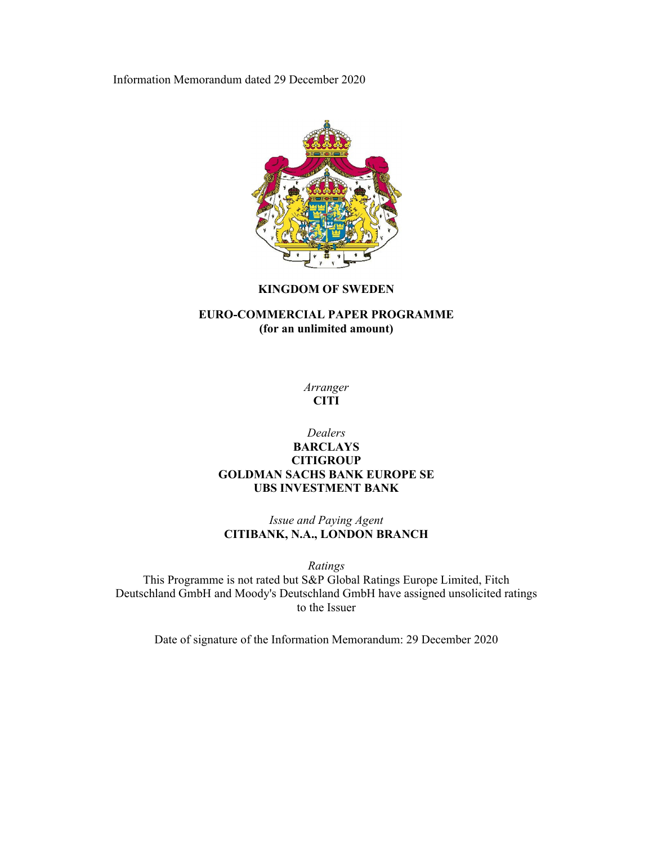Information Memorandum dated 29 December 2020



# **KINGDOM OF SWEDEN**

# **EURO-COMMERCIAL PAPER PROGRAMME (for an unlimited amount)**

*Arranger*  **CITI** 

# *Dealers*  **BARCLAYS CITIGROUP GOLDMAN SACHS BANK EUROPE SE UBS INVESTMENT BANK**

*Issue and Paying Agent*  **CITIBANK, N.A., LONDON BRANCH** 

*Ratings* 

This Programme is not rated but S&P Global Ratings Europe Limited, Fitch Deutschland GmbH and Moody's Deutschland GmbH have assigned unsolicited ratings to the Issuer

Date of signature of the Information Memorandum: 29 December 2020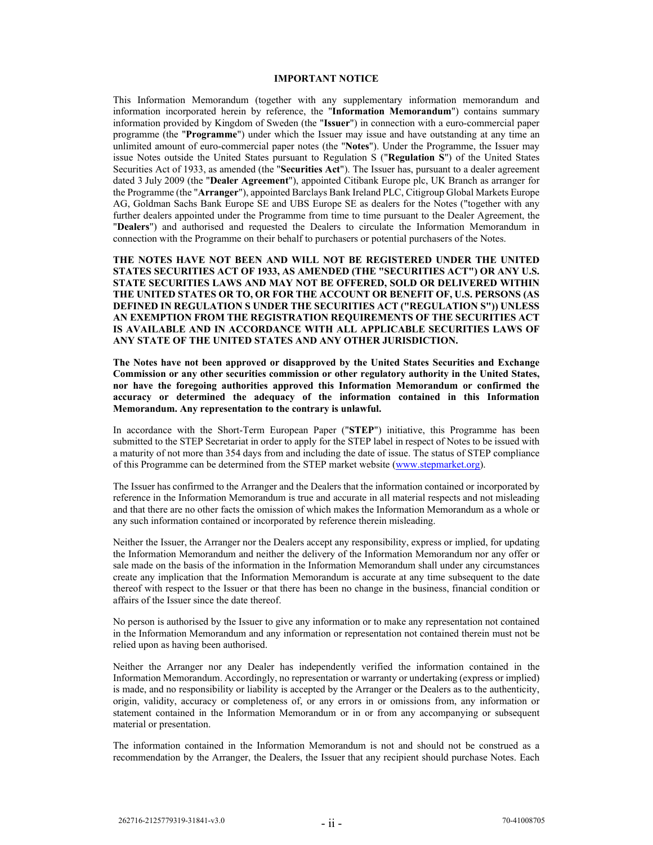#### **IMPORTANT NOTICE**

This Information Memorandum (together with any supplementary information memorandum and information incorporated herein by reference, the "**Information Memorandum**") contains summary information provided by Kingdom of Sweden (the "**Issuer**") in connection with a euro-commercial paper programme (the "**Programme**") under which the Issuer may issue and have outstanding at any time an unlimited amount of euro-commercial paper notes (the "**Notes**"). Under the Programme, the Issuer may issue Notes outside the United States pursuant to Regulation S ("**Regulation S**") of the United States Securities Act of 1933, as amended (the "**Securities Act**"). The Issuer has, pursuant to a dealer agreement dated 3 July 2009 (the "**Dealer Agreement**"), appointed Citibank Europe plc, UK Branch as arranger for the Programme (the "**Arranger**"), appointed Barclays Bank Ireland PLC, Citigroup Global Markets Europe AG, Goldman Sachs Bank Europe SE and UBS Europe SE as dealers for the Notes ("together with any further dealers appointed under the Programme from time to time pursuant to the Dealer Agreement, the "**Dealers**") and authorised and requested the Dealers to circulate the Information Memorandum in connection with the Programme on their behalf to purchasers or potential purchasers of the Notes.

**THE NOTES HAVE NOT BEEN AND WILL NOT BE REGISTERED UNDER THE UNITED STATES SECURITIES ACT OF 1933, AS AMENDED (THE "SECURITIES ACT") OR ANY U.S. STATE SECURITIES LAWS AND MAY NOT BE OFFERED, SOLD OR DELIVERED WITHIN THE UNITED STATES OR TO, OR FOR THE ACCOUNT OR BENEFIT OF, U.S. PERSONS (AS DEFINED IN REGULATION S UNDER THE SECURITIES ACT ("REGULATION S")) UNLESS AN EXEMPTION FROM THE REGISTRATION REQUIREMENTS OF THE SECURITIES ACT IS AVAILABLE AND IN ACCORDANCE WITH ALL APPLICABLE SECURITIES LAWS OF ANY STATE OF THE UNITED STATES AND ANY OTHER JURISDICTION.** 

**The Notes have not been approved or disapproved by the United States Securities and Exchange Commission or any other securities commission or other regulatory authority in the United States, nor have the foregoing authorities approved this Information Memorandum or confirmed the accuracy or determined the adequacy of the information contained in this Information Memorandum. Any representation to the contrary is unlawful.** 

In accordance with the Short-Term European Paper ("**STEP**") initiative, this Programme has been submitted to the STEP Secretariat in order to apply for the STEP label in respect of Notes to be issued with a maturity of not more than 354 days from and including the date of issue. The status of STEP compliance of this Programme can be determined from the STEP market website (www.stepmarket.org).

The Issuer has confirmed to the Arranger and the Dealers that the information contained or incorporated by reference in the Information Memorandum is true and accurate in all material respects and not misleading and that there are no other facts the omission of which makes the Information Memorandum as a whole or any such information contained or incorporated by reference therein misleading.

Neither the Issuer, the Arranger nor the Dealers accept any responsibility, express or implied, for updating the Information Memorandum and neither the delivery of the Information Memorandum nor any offer or sale made on the basis of the information in the Information Memorandum shall under any circumstances create any implication that the Information Memorandum is accurate at any time subsequent to the date thereof with respect to the Issuer or that there has been no change in the business, financial condition or affairs of the Issuer since the date thereof.

No person is authorised by the Issuer to give any information or to make any representation not contained in the Information Memorandum and any information or representation not contained therein must not be relied upon as having been authorised.

Neither the Arranger nor any Dealer has independently verified the information contained in the Information Memorandum. Accordingly, no representation or warranty or undertaking (express or implied) is made, and no responsibility or liability is accepted by the Arranger or the Dealers as to the authenticity, origin, validity, accuracy or completeness of, or any errors in or omissions from, any information or statement contained in the Information Memorandum or in or from any accompanying or subsequent material or presentation.

The information contained in the Information Memorandum is not and should not be construed as a recommendation by the Arranger, the Dealers, the Issuer that any recipient should purchase Notes. Each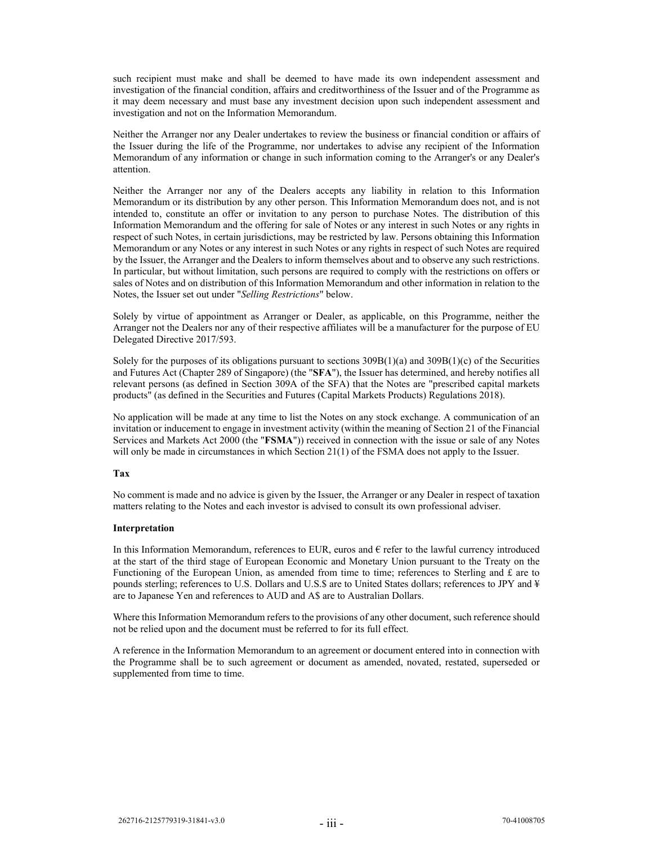such recipient must make and shall be deemed to have made its own independent assessment and investigation of the financial condition, affairs and creditworthiness of the Issuer and of the Programme as it may deem necessary and must base any investment decision upon such independent assessment and investigation and not on the Information Memorandum.

Neither the Arranger nor any Dealer undertakes to review the business or financial condition or affairs of the Issuer during the life of the Programme, nor undertakes to advise any recipient of the Information Memorandum of any information or change in such information coming to the Arranger's or any Dealer's attention.

Neither the Arranger nor any of the Dealers accepts any liability in relation to this Information Memorandum or its distribution by any other person. This Information Memorandum does not, and is not intended to, constitute an offer or invitation to any person to purchase Notes. The distribution of this Information Memorandum and the offering for sale of Notes or any interest in such Notes or any rights in respect of such Notes, in certain jurisdictions, may be restricted by law. Persons obtaining this Information Memorandum or any Notes or any interest in such Notes or any rights in respect of such Notes are required by the Issuer, the Arranger and the Dealers to inform themselves about and to observe any such restrictions. In particular, but without limitation, such persons are required to comply with the restrictions on offers or sales of Notes and on distribution of this Information Memorandum and other information in relation to the Notes, the Issuer set out under "*Selling Restrictions*" below.

Solely by virtue of appointment as Arranger or Dealer, as applicable, on this Programme, neither the Arranger not the Dealers nor any of their respective affiliates will be a manufacturer for the purpose of EU Delegated Directive 2017/593.

Solely for the purposes of its obligations pursuant to sections  $309B(1)(a)$  and  $309B(1)(c)$  of the Securities and Futures Act (Chapter 289 of Singapore) (the "**SFA**"), the Issuer has determined, and hereby notifies all relevant persons (as defined in Section 309A of the SFA) that the Notes are "prescribed capital markets products" (as defined in the Securities and Futures (Capital Markets Products) Regulations 2018).

No application will be made at any time to list the Notes on any stock exchange. A communication of an invitation or inducement to engage in investment activity (within the meaning of Section 21 of the Financial Services and Markets Act 2000 (the "**FSMA**")) received in connection with the issue or sale of any Notes will only be made in circumstances in which Section 21(1) of the FSMA does not apply to the Issuer.

### **Tax**

No comment is made and no advice is given by the Issuer, the Arranger or any Dealer in respect of taxation matters relating to the Notes and each investor is advised to consult its own professional adviser.

#### **Interpretation**

In this Information Memorandum, references to EUR, euros and  $\epsilon$  refer to the lawful currency introduced at the start of the third stage of European Economic and Monetary Union pursuant to the Treaty on the Functioning of the European Union, as amended from time to time; references to Sterling and  $\mathcal E$  are to pounds sterling; references to U.S. Dollars and U.S.\$ are to United States dollars; references to JPY and ¥ are to Japanese Yen and references to AUD and A\$ are to Australian Dollars.

Where this Information Memorandum refers to the provisions of any other document, such reference should not be relied upon and the document must be referred to for its full effect.

A reference in the Information Memorandum to an agreement or document entered into in connection with the Programme shall be to such agreement or document as amended, novated, restated, superseded or supplemented from time to time.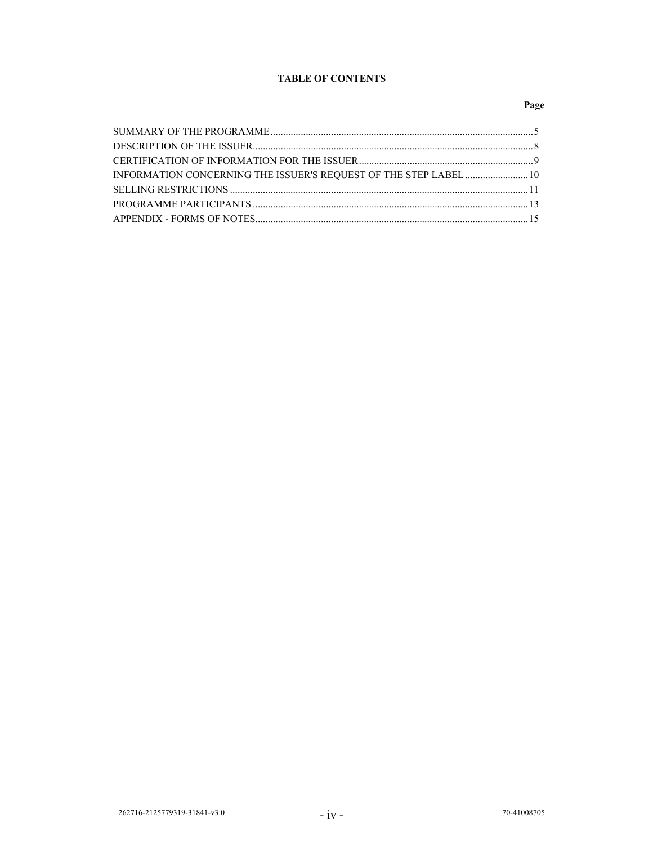# **TABLE OF CONTENTS**

# Page

| INFORMATION CONCERNING THE ISSUER'S REQUEST OF THE STEP LABEL  10 |  |
|-------------------------------------------------------------------|--|
|                                                                   |  |
|                                                                   |  |
|                                                                   |  |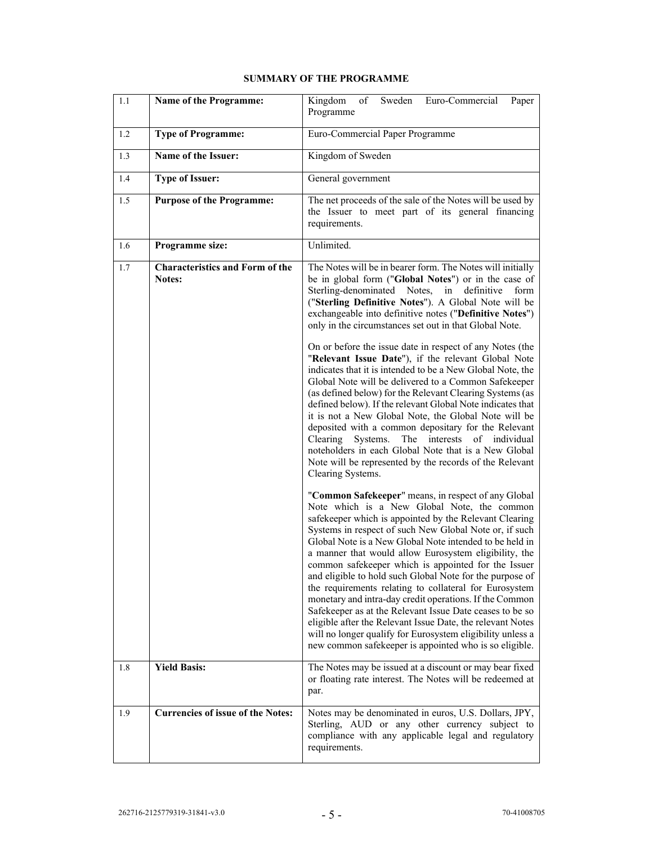| 1.1 | Name of the Programme:                                  | Sweden<br>Euro-Commercial<br>Kingdom<br>of<br>Paper<br>Programme                                                                                                                                                                                                                                                                                                                                                                                                                                                                                                                                                                                                                                                                                                                                                                                                                                                                                                                                                                      |  |  |
|-----|---------------------------------------------------------|---------------------------------------------------------------------------------------------------------------------------------------------------------------------------------------------------------------------------------------------------------------------------------------------------------------------------------------------------------------------------------------------------------------------------------------------------------------------------------------------------------------------------------------------------------------------------------------------------------------------------------------------------------------------------------------------------------------------------------------------------------------------------------------------------------------------------------------------------------------------------------------------------------------------------------------------------------------------------------------------------------------------------------------|--|--|
| 1.2 | <b>Type of Programme:</b>                               | Euro-Commercial Paper Programme                                                                                                                                                                                                                                                                                                                                                                                                                                                                                                                                                                                                                                                                                                                                                                                                                                                                                                                                                                                                       |  |  |
| 1.3 | Name of the Issuer:                                     | Kingdom of Sweden                                                                                                                                                                                                                                                                                                                                                                                                                                                                                                                                                                                                                                                                                                                                                                                                                                                                                                                                                                                                                     |  |  |
| 1.4 | <b>Type of Issuer:</b>                                  | General government                                                                                                                                                                                                                                                                                                                                                                                                                                                                                                                                                                                                                                                                                                                                                                                                                                                                                                                                                                                                                    |  |  |
| 1.5 | <b>Purpose of the Programme:</b>                        | The net proceeds of the sale of the Notes will be used by<br>the Issuer to meet part of its general financing<br>requirements.                                                                                                                                                                                                                                                                                                                                                                                                                                                                                                                                                                                                                                                                                                                                                                                                                                                                                                        |  |  |
| 1.6 | Programme size:                                         | Unlimited.                                                                                                                                                                                                                                                                                                                                                                                                                                                                                                                                                                                                                                                                                                                                                                                                                                                                                                                                                                                                                            |  |  |
| 1.7 | <b>Characteristics and Form of the</b><br><b>Notes:</b> | The Notes will be in bearer form. The Notes will initially<br>be in global form ("Global Notes") or in the case of<br>Sterling-denominated Notes, in definitive form<br>("Sterling Definitive Notes"). A Global Note will be<br>exchangeable into definitive notes ("Definitive Notes")<br>only in the circumstances set out in that Global Note.<br>On or before the issue date in respect of any Notes (the<br>"Relevant Issue Date"), if the relevant Global Note<br>indicates that it is intended to be a New Global Note, the<br>Global Note will be delivered to a Common Safekeeper<br>(as defined below) for the Relevant Clearing Systems (as<br>defined below). If the relevant Global Note indicates that<br>it is not a New Global Note, the Global Note will be<br>deposited with a common depositary for the Relevant<br>The interests<br>Clearing<br>Systems.<br>of individual<br>noteholders in each Global Note that is a New Global<br>Note will be represented by the records of the Relevant<br>Clearing Systems. |  |  |
|     |                                                         | "Common Safekeeper" means, in respect of any Global<br>Note which is a New Global Note, the common<br>safekeeper which is appointed by the Relevant Clearing<br>Systems in respect of such New Global Note or, if such<br>Global Note is a New Global Note intended to be held in<br>a manner that would allow Eurosystem eligibility, the<br>common safekeeper which is appointed for the Issuer<br>and eligible to hold such Global Note for the purpose of<br>the requirements relating to collateral for Eurosystem<br>monetary and intra-day credit operations. If the Common<br>Safekeeper as at the Relevant Issue Date ceases to be so<br>eligible after the Relevant Issue Date, the relevant Notes<br>will no longer qualify for Eurosystem eligibility unless a<br>new common safekeeper is appointed who is so eligible.                                                                                                                                                                                                  |  |  |
| 1.8 | <b>Yield Basis:</b>                                     | The Notes may be issued at a discount or may bear fixed<br>or floating rate interest. The Notes will be redeemed at<br>par.                                                                                                                                                                                                                                                                                                                                                                                                                                                                                                                                                                                                                                                                                                                                                                                                                                                                                                           |  |  |
| 1.9 | <b>Currencies of issue of the Notes:</b>                | Notes may be denominated in euros, U.S. Dollars, JPY,<br>Sterling, AUD or any other currency subject to<br>compliance with any applicable legal and regulatory<br>requirements.                                                                                                                                                                                                                                                                                                                                                                                                                                                                                                                                                                                                                                                                                                                                                                                                                                                       |  |  |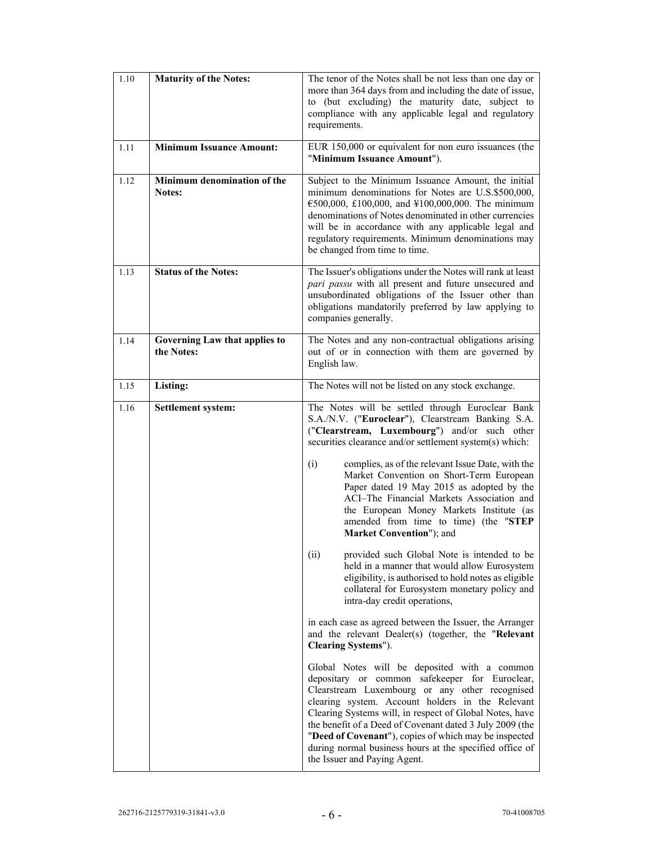| 1.10 | <b>Maturity of the Notes:</b>               | The tenor of the Notes shall be not less than one day or<br>more than 364 days from and including the date of issue,<br>to (but excluding) the maturity date, subject to<br>compliance with any applicable legal and regulatory<br>requirements.                                                                                                                                                                                                                                |  |
|------|---------------------------------------------|---------------------------------------------------------------------------------------------------------------------------------------------------------------------------------------------------------------------------------------------------------------------------------------------------------------------------------------------------------------------------------------------------------------------------------------------------------------------------------|--|
| 1.11 | <b>Minimum Issuance Amount:</b>             | EUR 150,000 or equivalent for non euro issuances (the<br>"Minimum Issuance Amount").                                                                                                                                                                                                                                                                                                                                                                                            |  |
| 1.12 | Minimum denomination of the<br>Notes:       | Subject to the Minimum Issuance Amount, the initial<br>minimum denominations for Notes are U.S.\$500,000,<br>€500,000, £100,000, and ¥100,000,000. The minimum<br>denominations of Notes denominated in other currencies<br>will be in accordance with any applicable legal and<br>regulatory requirements. Minimum denominations may<br>be changed from time to time.                                                                                                          |  |
| 1.13 | <b>Status of the Notes:</b>                 | The Issuer's obligations under the Notes will rank at least<br>pari passu with all present and future unsecured and<br>unsubordinated obligations of the Issuer other than<br>obligations mandatorily preferred by law applying to<br>companies generally.                                                                                                                                                                                                                      |  |
| 1.14 | Governing Law that applies to<br>the Notes: | The Notes and any non-contractual obligations arising<br>out of or in connection with them are governed by<br>English law.                                                                                                                                                                                                                                                                                                                                                      |  |
| 1.15 | Listing:                                    | The Notes will not be listed on any stock exchange.                                                                                                                                                                                                                                                                                                                                                                                                                             |  |
| 1.16 | Settlement system:                          | The Notes will be settled through Euroclear Bank<br>S.A./N.V. ("Euroclear"), Clearstream Banking S.A.<br>("Clearstream, Luxembourg") and/or such other<br>securities clearance and/or settlement system(s) which:<br>complies, as of the relevant Issue Date, with the<br>(i)<br>Market Convention on Short-Term European                                                                                                                                                       |  |
|      |                                             | Paper dated 19 May 2015 as adopted by the<br>ACI-The Financial Markets Association and<br>the European Money Markets Institute (as<br>amended from time to time) (the "STEP<br>Market Convention"); and                                                                                                                                                                                                                                                                         |  |
|      |                                             | (ii)<br>provided such Global Note is intended to be<br>held in a manner that would allow Eurosystem<br>eligibility, is authorised to hold notes as eligible<br>collateral for Eurosystem monetary policy and<br>intra-day credit operations,                                                                                                                                                                                                                                    |  |
|      |                                             | in each case as agreed between the Issuer, the Arranger<br>and the relevant Dealer(s) (together, the "Relevant<br>Clearing Systems").                                                                                                                                                                                                                                                                                                                                           |  |
|      |                                             | Global Notes will be deposited with a common<br>depositary or common safekeeper for Euroclear,<br>Clearstream Luxembourg or any other recognised<br>clearing system. Account holders in the Relevant<br>Clearing Systems will, in respect of Global Notes, have<br>the benefit of a Deed of Covenant dated 3 July 2009 (the<br>"Deed of Covenant"), copies of which may be inspected<br>during normal business hours at the specified office of<br>the Issuer and Paying Agent. |  |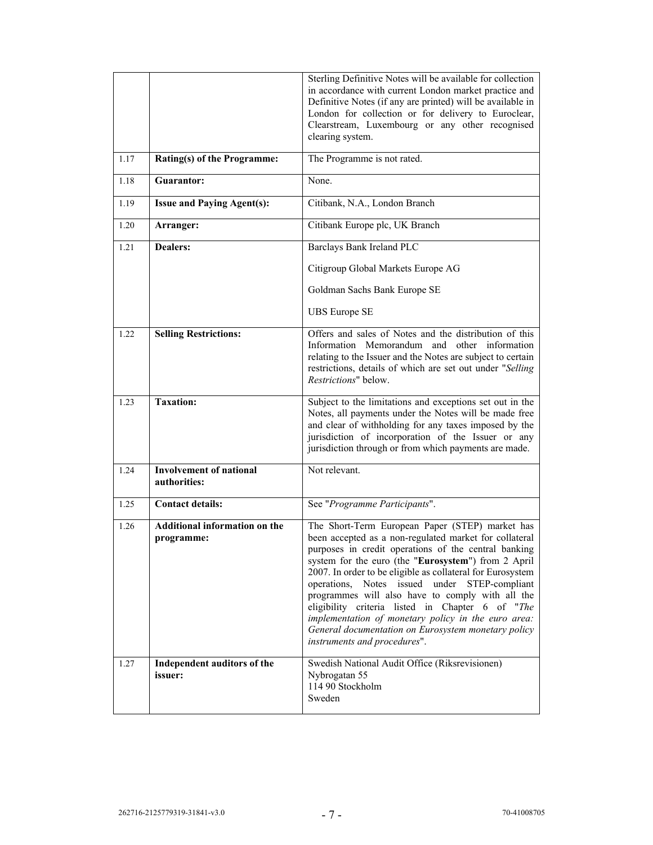|      |                                                    | Sterling Definitive Notes will be available for collection<br>in accordance with current London market practice and<br>Definitive Notes (if any are printed) will be available in<br>London for collection or for delivery to Euroclear,                                                                                                                                                                                                                                                                                                                                                      |
|------|----------------------------------------------------|-----------------------------------------------------------------------------------------------------------------------------------------------------------------------------------------------------------------------------------------------------------------------------------------------------------------------------------------------------------------------------------------------------------------------------------------------------------------------------------------------------------------------------------------------------------------------------------------------|
|      |                                                    | Clearstream, Luxembourg or any other recognised<br>clearing system.                                                                                                                                                                                                                                                                                                                                                                                                                                                                                                                           |
| 1.17 | <b>Rating(s) of the Programme:</b>                 | The Programme is not rated.                                                                                                                                                                                                                                                                                                                                                                                                                                                                                                                                                                   |
| 1.18 | Guarantor:                                         | None.                                                                                                                                                                                                                                                                                                                                                                                                                                                                                                                                                                                         |
| 1.19 | <b>Issue and Paying Agent(s):</b>                  | Citibank, N.A., London Branch                                                                                                                                                                                                                                                                                                                                                                                                                                                                                                                                                                 |
| 1.20 | Arranger:                                          | Citibank Europe plc, UK Branch                                                                                                                                                                                                                                                                                                                                                                                                                                                                                                                                                                |
| 1.21 | <b>Dealers:</b>                                    | Barclays Bank Ireland PLC                                                                                                                                                                                                                                                                                                                                                                                                                                                                                                                                                                     |
|      |                                                    | Citigroup Global Markets Europe AG                                                                                                                                                                                                                                                                                                                                                                                                                                                                                                                                                            |
|      |                                                    | Goldman Sachs Bank Europe SE                                                                                                                                                                                                                                                                                                                                                                                                                                                                                                                                                                  |
|      |                                                    | <b>UBS</b> Europe SE                                                                                                                                                                                                                                                                                                                                                                                                                                                                                                                                                                          |
| 1.22 | <b>Selling Restrictions:</b>                       | Offers and sales of Notes and the distribution of this<br>Information Memorandum and other information<br>relating to the Issuer and the Notes are subject to certain<br>restrictions, details of which are set out under "Selling<br>Restrictions" below.                                                                                                                                                                                                                                                                                                                                    |
| 1.23 | <b>Taxation:</b>                                   | Subject to the limitations and exceptions set out in the<br>Notes, all payments under the Notes will be made free<br>and clear of withholding for any taxes imposed by the<br>jurisdiction of incorporation of the Issuer or any<br>jurisdiction through or from which payments are made.                                                                                                                                                                                                                                                                                                     |
| 1.24 | <b>Involvement of national</b><br>authorities:     | Not relevant.                                                                                                                                                                                                                                                                                                                                                                                                                                                                                                                                                                                 |
| 1.25 | <b>Contact details:</b>                            | See "Programme Participants".                                                                                                                                                                                                                                                                                                                                                                                                                                                                                                                                                                 |
| 1.26 | <b>Additional information on the</b><br>programme: | The Short-Term European Paper (STEP) market has<br>been accepted as a non-regulated market for collateral<br>purposes in credit operations of the central banking<br>system for the euro (the "Eurosystem") from 2 April<br>2007. In order to be eligible as collateral for Eurosystem<br>operations, Notes issued under STEP-compliant<br>programmes will also have to comply with all the<br>eligibility criteria listed in Chapter 6 of "The<br>implementation of monetary policy in the euro area:<br>General documentation on Eurosystem monetary policy<br>instruments and procedures". |
| 1.27 | Independent auditors of the<br>issuer:             | Swedish National Audit Office (Riksrevisionen)<br>Nybrogatan 55<br>114 90 Stockholm<br>Sweden                                                                                                                                                                                                                                                                                                                                                                                                                                                                                                 |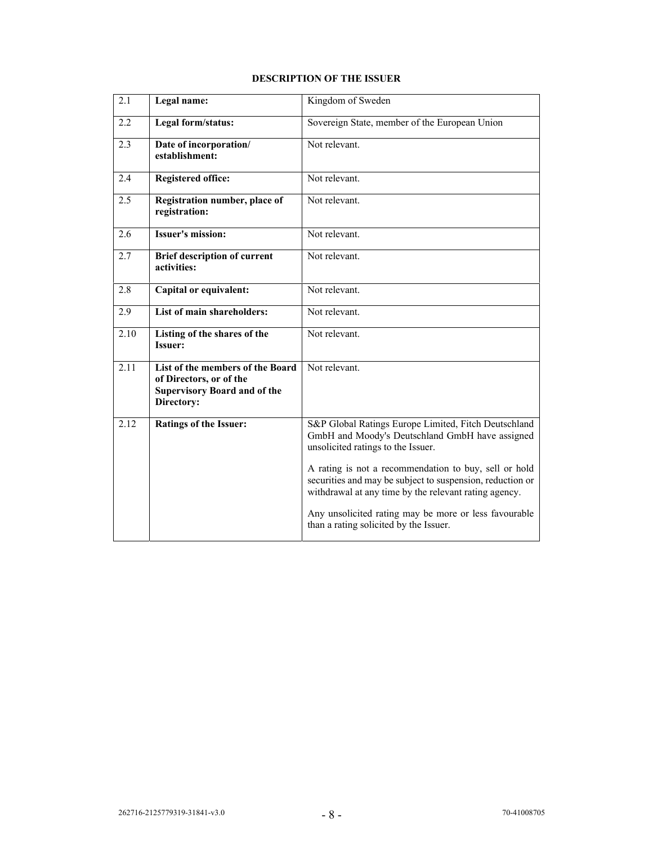# **DESCRIPTION OF THE ISSUER**

| $\overline{2.1}$ | Legal name:                                                                                                      | Kingdom of Sweden                                                                                                                                                           |
|------------------|------------------------------------------------------------------------------------------------------------------|-----------------------------------------------------------------------------------------------------------------------------------------------------------------------------|
| 2.2              | Legal form/status:                                                                                               | Sovereign State, member of the European Union                                                                                                                               |
| 2.3              | Date of incorporation/<br>establishment:                                                                         | Not relevant.                                                                                                                                                               |
| 2.4              | <b>Registered office:</b>                                                                                        | Not relevant.                                                                                                                                                               |
| 2.5              | Registration number, place of<br>registration:                                                                   | Not relevant.                                                                                                                                                               |
| 2.6              | <b>Issuer's mission:</b>                                                                                         | Not relevant.                                                                                                                                                               |
| 2.7              | <b>Brief description of current</b><br>activities:                                                               | Not relevant.                                                                                                                                                               |
| 2.8              | <b>Capital or equivalent:</b>                                                                                    | Not relevant.                                                                                                                                                               |
| 2.9              | List of main shareholders:                                                                                       | Not relevant.                                                                                                                                                               |
| 2.10             | Listing of the shares of the<br><b>Issuer:</b>                                                                   | Not relevant.                                                                                                                                                               |
| 2.11             | List of the members of the Board<br>of Directors, or of the<br><b>Supervisory Board and of the</b><br>Directory: | Not relevant.                                                                                                                                                               |
| 2.12             | <b>Ratings of the Issuer:</b>                                                                                    | S&P Global Ratings Europe Limited, Fitch Deutschland<br>GmbH and Moody's Deutschland GmbH have assigned<br>unsolicited ratings to the Issuer.                               |
|                  |                                                                                                                  | A rating is not a recommendation to buy, sell or hold<br>securities and may be subject to suspension, reduction or<br>withdrawal at any time by the relevant rating agency. |
|                  |                                                                                                                  | Any unsolicited rating may be more or less favourable<br>than a rating solicited by the Issuer.                                                                             |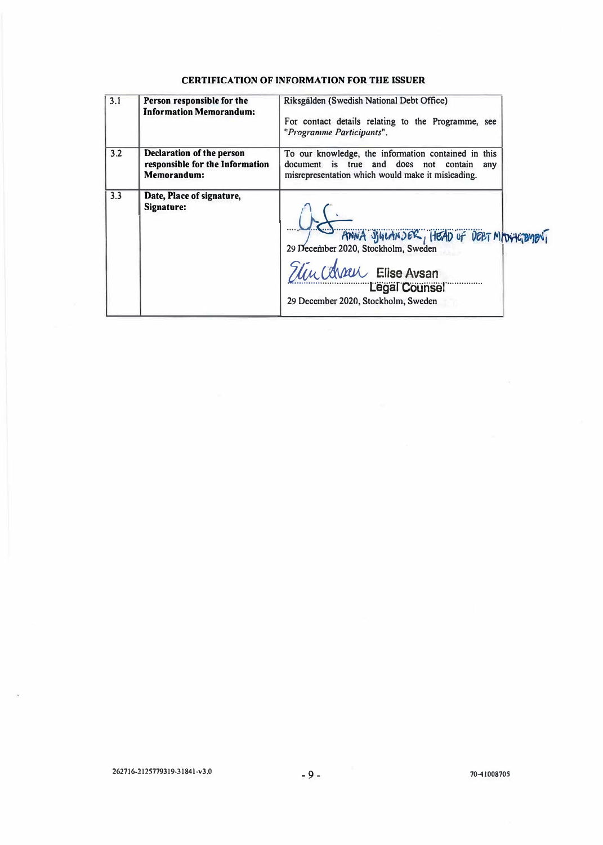# **CERTIFICATION OF INFORMATION FOR THE ISSUER**

| 3.1 | Person responsible for the<br><b>Information Memorandum:</b>                       | Riksgälden (Swedish National Debt Office)<br>For contact details relating to the Programme, see<br>"Programme Participants".                                       |
|-----|------------------------------------------------------------------------------------|--------------------------------------------------------------------------------------------------------------------------------------------------------------------|
| 3.2 | <b>Declaration of the person</b><br>responsible for the Information<br>Memorandum: | To our knowledge, the information contained in this<br>document is true and does not contain<br>any<br>misrepresentation which would make it misleading.           |
| 3.3 | Date, Place of signature,<br>Signature:                                            | ANNA SIGLANDER, HEAD OF DELT MOVIETEMENT<br>29 December 2020, Stockholm, Sweden<br>Elin Conner Elise Avsan<br>Legal Counsel<br>29 December 2020, Stockholm, Sweden |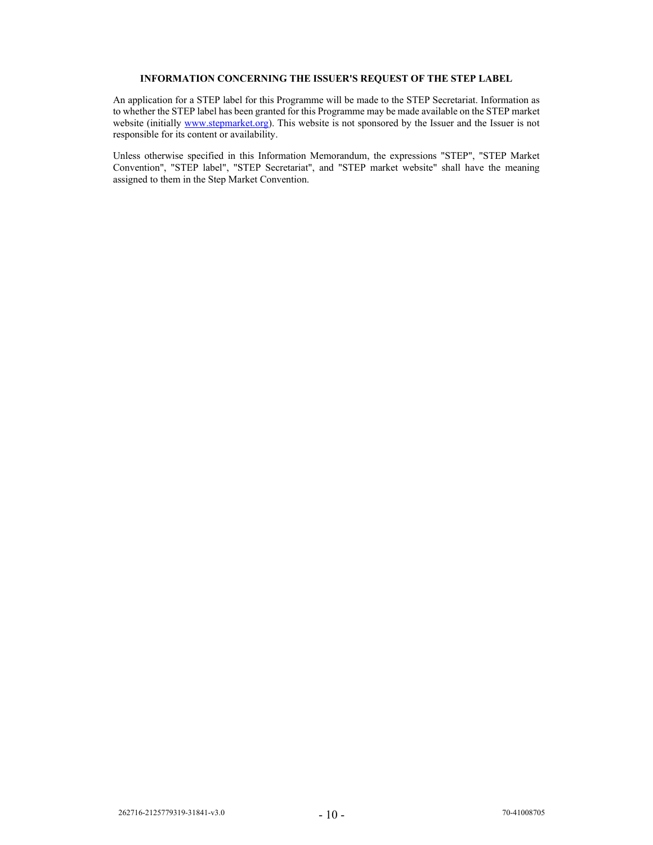# **INFORMATION CONCERNING THE ISSUER'S REQUEST OF THE STEP LABEL**

An application for a STEP label for this Programme will be made to the STEP Secretariat. Information as to whether the STEP label has been granted for this Programme may be made available on the STEP market website (initially www.stepmarket.org). This website is not sponsored by the Issuer and the Issuer is not responsible for its content or availability.

Unless otherwise specified in this Information Memorandum, the expressions "STEP", "STEP Market Convention", "STEP label", "STEP Secretariat", and "STEP market website" shall have the meaning assigned to them in the Step Market Convention.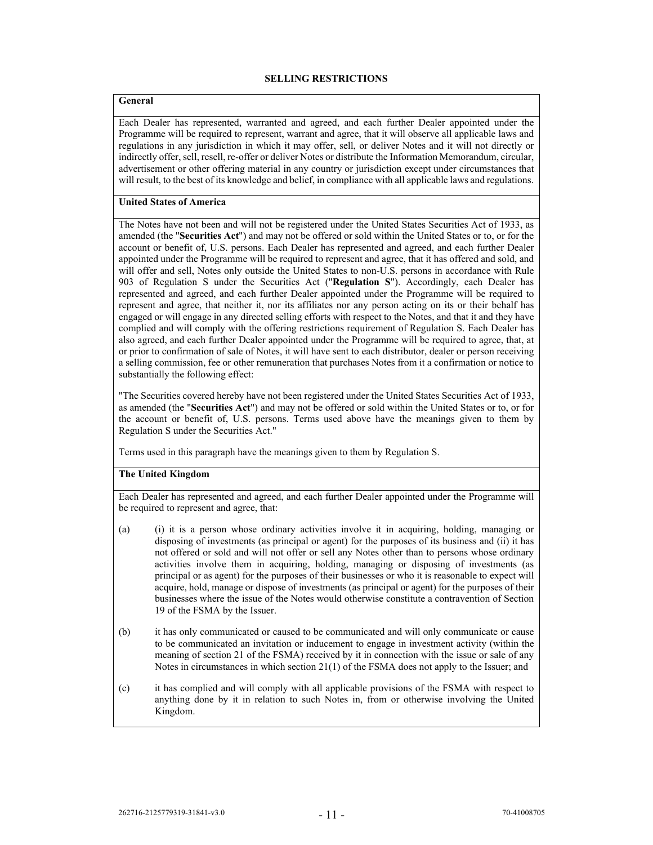### **SELLING RESTRICTIONS**

# **General**

Each Dealer has represented, warranted and agreed, and each further Dealer appointed under the Programme will be required to represent, warrant and agree, that it will observe all applicable laws and regulations in any jurisdiction in which it may offer, sell, or deliver Notes and it will not directly or indirectly offer, sell, resell, re-offer or deliver Notes or distribute the Information Memorandum, circular, advertisement or other offering material in any country or jurisdiction except under circumstances that will result, to the best of its knowledge and belief, in compliance with all applicable laws and regulations.

## **United States of America**

The Notes have not been and will not be registered under the United States Securities Act of 1933, as amended (the "**Securities Act**") and may not be offered or sold within the United States or to, or for the account or benefit of, U.S. persons. Each Dealer has represented and agreed, and each further Dealer appointed under the Programme will be required to represent and agree, that it has offered and sold, and will offer and sell, Notes only outside the United States to non-U.S. persons in accordance with Rule 903 of Regulation S under the Securities Act ("**Regulation S**"). Accordingly, each Dealer has represented and agreed, and each further Dealer appointed under the Programme will be required to represent and agree, that neither it, nor its affiliates nor any person acting on its or their behalf has engaged or will engage in any directed selling efforts with respect to the Notes, and that it and they have complied and will comply with the offering restrictions requirement of Regulation S. Each Dealer has also agreed, and each further Dealer appointed under the Programme will be required to agree, that, at or prior to confirmation of sale of Notes, it will have sent to each distributor, dealer or person receiving a selling commission, fee or other remuneration that purchases Notes from it a confirmation or notice to substantially the following effect:

"The Securities covered hereby have not been registered under the United States Securities Act of 1933, as amended (the "**Securities Act**") and may not be offered or sold within the United States or to, or for the account or benefit of, U.S. persons. Terms used above have the meanings given to them by Regulation S under the Securities Act."

Terms used in this paragraph have the meanings given to them by Regulation S.

## **The United Kingdom**

Each Dealer has represented and agreed, and each further Dealer appointed under the Programme will be required to represent and agree, that:

- (a) (i) it is a person whose ordinary activities involve it in acquiring, holding, managing or disposing of investments (as principal or agent) for the purposes of its business and (ii) it has not offered or sold and will not offer or sell any Notes other than to persons whose ordinary activities involve them in acquiring, holding, managing or disposing of investments (as principal or as agent) for the purposes of their businesses or who it is reasonable to expect will acquire, hold, manage or dispose of investments (as principal or agent) for the purposes of their businesses where the issue of the Notes would otherwise constitute a contravention of Section 19 of the FSMA by the Issuer.
- (b) it has only communicated or caused to be communicated and will only communicate or cause to be communicated an invitation or inducement to engage in investment activity (within the meaning of section 21 of the FSMA) received by it in connection with the issue or sale of any Notes in circumstances in which section 21(1) of the FSMA does not apply to the Issuer; and
- (c) it has complied and will comply with all applicable provisions of the FSMA with respect to anything done by it in relation to such Notes in, from or otherwise involving the United Kingdom.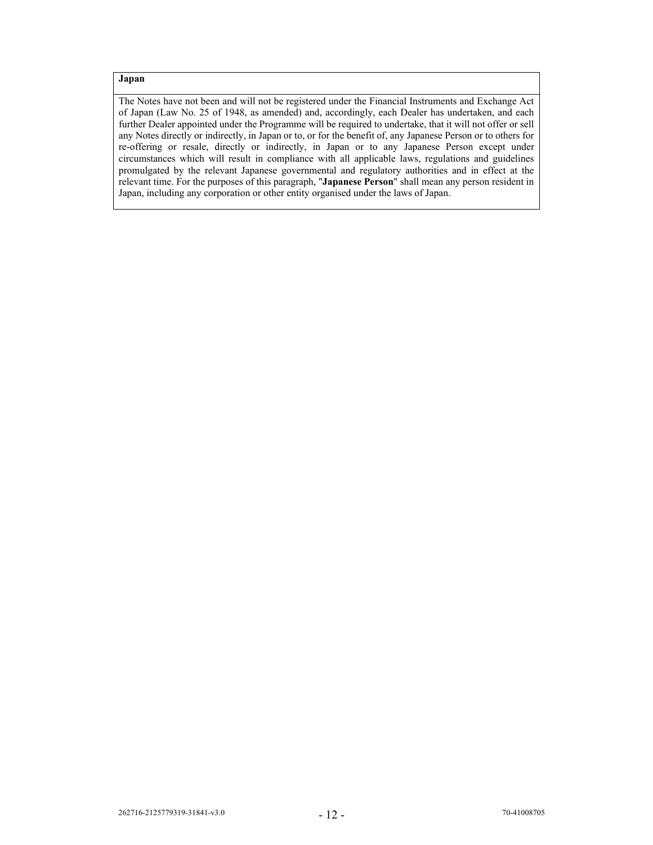# **Japan**

The Notes have not been and will not be registered under the Financial Instruments and Exchange Act of Japan (Law No. 25 of 1948, as amended) and, accordingly, each Dealer has undertaken, and each further Dealer appointed under the Programme will be required to undertake, that it will not offer or sell any Notes directly or indirectly, in Japan or to, or for the benefit of, any Japanese Person or to others for re-offering or resale, directly or indirectly, in Japan or to any Japanese Person except under circumstances which will result in compliance with all applicable laws, regulations and guidelines promulgated by the relevant Japanese governmental and regulatory authorities and in effect at the relevant time. For the purposes of this paragraph, "**Japanese Person**" shall mean any person resident in Japan, including any corporation or other entity organised under the laws of Japan.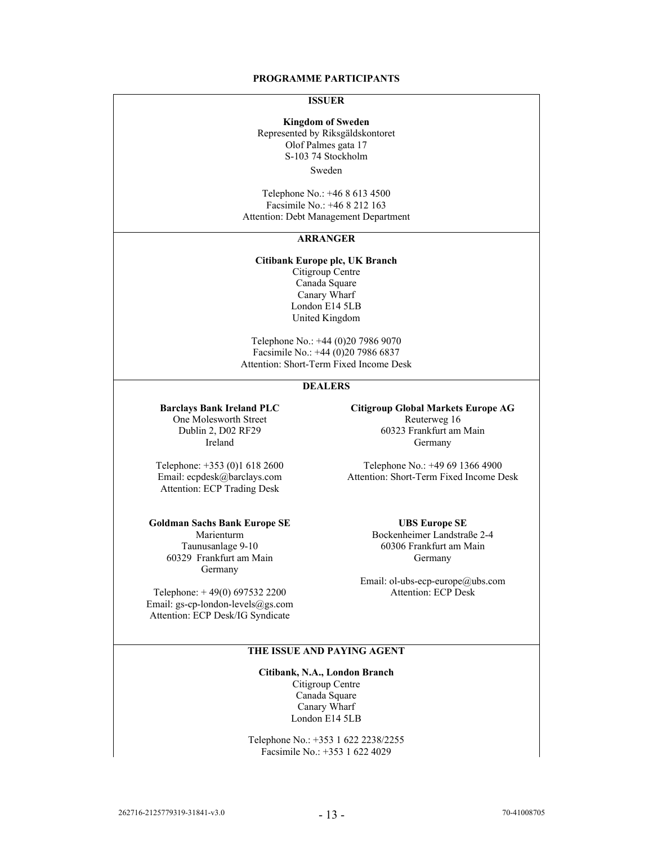### **PROGRAMME PARTICIPANTS**

## **ISSUER**

**Kingdom of Sweden**  Represented by Riksgäldskontoret Olof Palmes gata 17 S-103 74 Stockholm Sweden

Telephone No.: +46 8 613 4500 Facsimile No.: +46 8 212 163 Attention: Debt Management Department

#### **ARRANGER**

**Citibank Europe plc, UK Branch** 

Citigroup Centre Canada Square Canary Wharf London E14 5LB United Kingdom

Telephone No.: +44 (0)20 7986 9070 Facsimile No.: +44 (0)20 7986 6837 Attention: Short-Term Fixed Income Desk

## **DEALERS**

One Molesworth Street Reuterweg 16

Attention: ECP Trading Desk

#### **Goldman Sachs Bank Europe SE UBS Europe SE**

60329 Frankfurt am Main Germany Germany

Telephone:  $+49(0)$  697532 2200 Email: gs-cp-london-levels@gs.com Attention: ECP Desk/IG Syndicate

**Barclays Bank Ireland PLC Citigroup Global Markets Europe AG**  Dublin 2, D02 RF29 60323 Frankfurt am Main Ireland Germany

Telephone: +353 (0)1 618 2600<br>
Email: ecpdesk@barclays.com Attention: Short-Term Fixed Income D Attention: Short-Term Fixed Income Desk

Marienturm Bockenheimer Landstraße 2-4<br>Taunusanlage 9-10 60306 Frankfurt am Main 60306 Frankfurt am Main

Email: ol-ubs-ecp-europe@ubs.com

## **THE ISSUE AND PAYING AGENT**

## **Citibank, N.A., London Branch**

Citigroup Centre Canada Square Canary Wharf London E14 5LB

Telephone No.: +353 1 622 2238/2255 Facsimile No.: +353 1 622 4029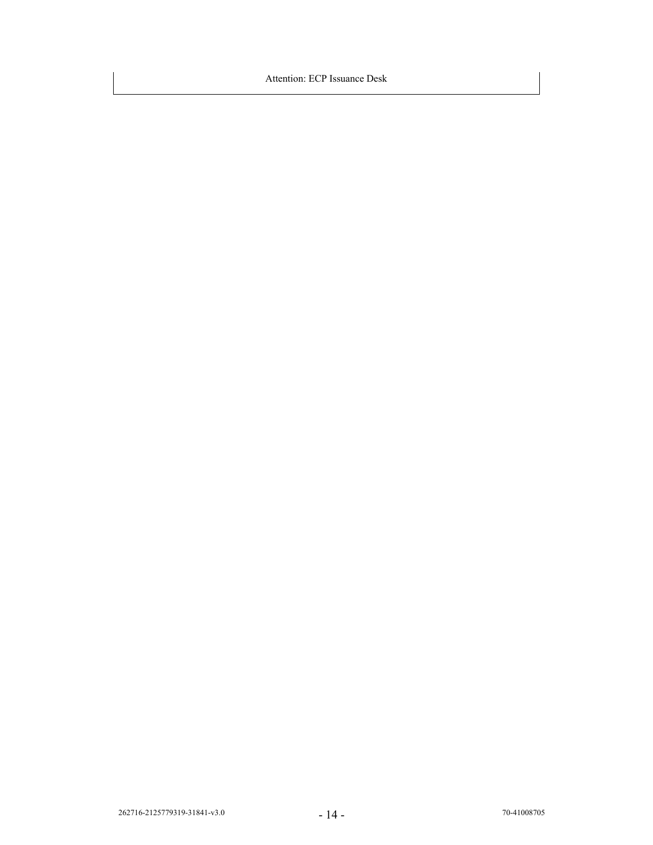Attention: ECP Issuance Desk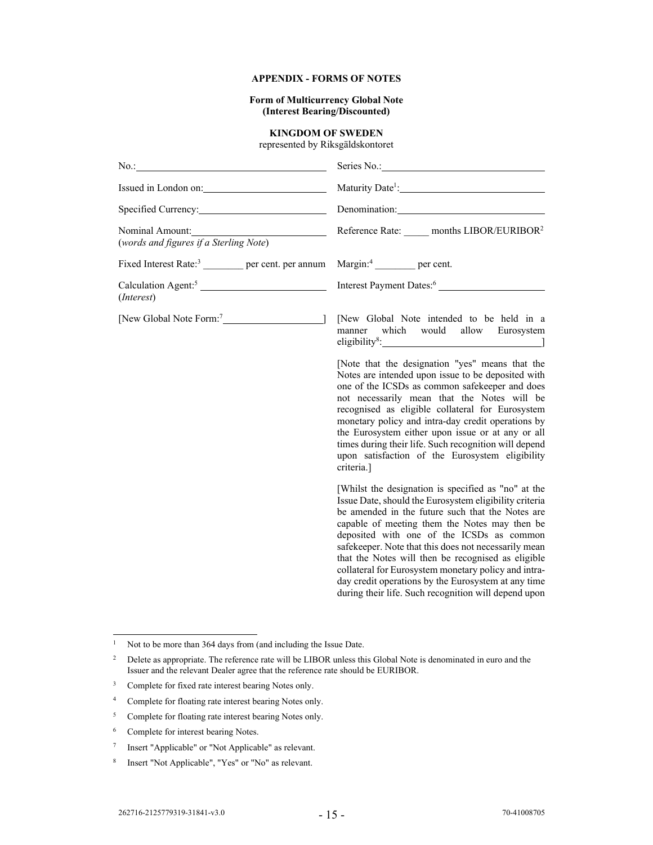## **APPENDIX - FORMS OF NOTES**

**Form of Multicurrency Global Note (Interest Bearing/Discounted)** 

## **KINGDOM OF SWEDEN**

represented by Riksgäldskontoret

| $No.$ :<br><u> 1989 - Johann Stoff, deutscher Stoffen und der Stoffen und der Stoffen und der Stoffen und der Stoffen und d</u> | Series No.: 2000                                                                                                                                                                                                                                                                                                                                                                                                                                                                                                                                     |
|---------------------------------------------------------------------------------------------------------------------------------|------------------------------------------------------------------------------------------------------------------------------------------------------------------------------------------------------------------------------------------------------------------------------------------------------------------------------------------------------------------------------------------------------------------------------------------------------------------------------------------------------------------------------------------------------|
|                                                                                                                                 | Maturity Date <sup>1</sup> :                                                                                                                                                                                                                                                                                                                                                                                                                                                                                                                         |
| Specified Currency:                                                                                                             | Denomination:                                                                                                                                                                                                                                                                                                                                                                                                                                                                                                                                        |
| Nominal Amount:<br>(words and figures if a Sterling Note)                                                                       | Reference Rate: months LIBOR/EURIBOR <sup>2</sup>                                                                                                                                                                                                                                                                                                                                                                                                                                                                                                    |
| Fixed Interest Rate: <sup>3</sup> per cent. per annum                                                                           | $Margin:4$ per cent.                                                                                                                                                                                                                                                                                                                                                                                                                                                                                                                                 |
| Calculation Agent: <sup>5</sup><br>( <i>Interest</i> )                                                                          |                                                                                                                                                                                                                                                                                                                                                                                                                                                                                                                                                      |
|                                                                                                                                 | [New Global Note intended to be held in a<br>manner which would allow Eurosystem                                                                                                                                                                                                                                                                                                                                                                                                                                                                     |
|                                                                                                                                 | [Note that the designation "yes" means that the<br>Notes are intended upon issue to be deposited with<br>one of the ICSDs as common safekeeper and does<br>not necessarily mean that the Notes will be<br>recognised as eligible collateral for Eurosystem<br>monetary policy and intra-day credit operations by<br>the Eurosystem either upon issue or at any or all<br>times during their life. Such recognition will depend<br>upon satisfaction of the Eurosystem eligibility<br>criteria.]                                                      |
|                                                                                                                                 | [Whilst the designation is specified as "no" at the<br>Issue Date, should the Eurosystem eligibility criteria<br>be amended in the future such that the Notes are<br>capable of meeting them the Notes may then be<br>deposited with one of the ICSDs as common<br>safekeeper. Note that this does not necessarily mean<br>that the Notes will then be recognised as eligible<br>collateral for Eurosystem monetary policy and intra-<br>day credit operations by the Eurosystem at any time<br>during their life. Such recognition will depend upon |

<sup>&</sup>lt;sup>1</sup> Not to be more than 364 days from (and including the Issue Date.

<sup>&</sup>lt;sup>2</sup> Delete as appropriate. The reference rate will be LIBOR unless this Global Note is denominated in euro and the Issuer and the relevant Dealer agree that the reference rate should be EURIBOR.

<sup>3</sup> Complete for fixed rate interest bearing Notes only.

<sup>4</sup> Complete for floating rate interest bearing Notes only.

<sup>&</sup>lt;sup>5</sup> Complete for floating rate interest bearing Notes only.

<sup>6</sup> Complete for interest bearing Notes.

<sup>7</sup> Insert "Applicable" or "Not Applicable" as relevant.

<sup>8</sup> Insert "Not Applicable", "Yes" or "No" as relevant.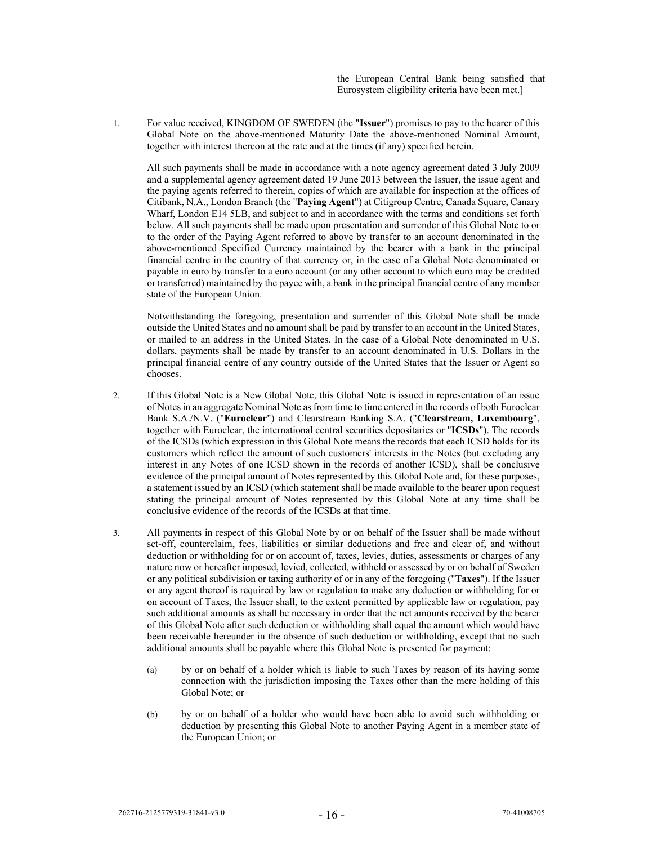the European Central Bank being satisfied that Eurosystem eligibility criteria have been met.]

1. For value received, KINGDOM OF SWEDEN (the "**Issuer**") promises to pay to the bearer of this Global Note on the above-mentioned Maturity Date the above-mentioned Nominal Amount, together with interest thereon at the rate and at the times (if any) specified herein.

All such payments shall be made in accordance with a note agency agreement dated 3 July 2009 and a supplemental agency agreement dated 19 June 2013 between the Issuer, the issue agent and the paying agents referred to therein, copies of which are available for inspection at the offices of Citibank, N.A., London Branch (the "**Paying Agent**") at Citigroup Centre, Canada Square, Canary Wharf, London E14 5LB, and subject to and in accordance with the terms and conditions set forth below. All such payments shall be made upon presentation and surrender of this Global Note to or to the order of the Paying Agent referred to above by transfer to an account denominated in the above-mentioned Specified Currency maintained by the bearer with a bank in the principal financial centre in the country of that currency or, in the case of a Global Note denominated or payable in euro by transfer to a euro account (or any other account to which euro may be credited or transferred) maintained by the payee with, a bank in the principal financial centre of any member state of the European Union.

Notwithstanding the foregoing, presentation and surrender of this Global Note shall be made outside the United States and no amount shall be paid by transfer to an account in the United States, or mailed to an address in the United States. In the case of a Global Note denominated in U.S. dollars, payments shall be made by transfer to an account denominated in U.S. Dollars in the principal financial centre of any country outside of the United States that the Issuer or Agent so chooses.

- 2. If this Global Note is a New Global Note, this Global Note is issued in representation of an issue of Notes in an aggregate Nominal Note as from time to time entered in the records of both Euroclear Bank S.A./N.V. ("**Euroclear**") and Clearstream Banking S.A. ("**Clearstream, Luxembourg**", together with Euroclear, the international central securities depositaries or "**ICSDs**"). The records of the ICSDs (which expression in this Global Note means the records that each ICSD holds for its customers which reflect the amount of such customers' interests in the Notes (but excluding any interest in any Notes of one ICSD shown in the records of another ICSD), shall be conclusive evidence of the principal amount of Notes represented by this Global Note and, for these purposes, a statement issued by an ICSD (which statement shall be made available to the bearer upon request stating the principal amount of Notes represented by this Global Note at any time shall be conclusive evidence of the records of the ICSDs at that time.
- 3. All payments in respect of this Global Note by or on behalf of the Issuer shall be made without set-off, counterclaim, fees, liabilities or similar deductions and free and clear of, and without deduction or withholding for or on account of, taxes, levies, duties, assessments or charges of any nature now or hereafter imposed, levied, collected, withheld or assessed by or on behalf of Sweden or any political subdivision or taxing authority of or in any of the foregoing ("**Taxes**"). If the Issuer or any agent thereof is required by law or regulation to make any deduction or withholding for or on account of Taxes, the Issuer shall, to the extent permitted by applicable law or regulation, pay such additional amounts as shall be necessary in order that the net amounts received by the bearer of this Global Note after such deduction or withholding shall equal the amount which would have been receivable hereunder in the absence of such deduction or withholding, except that no such additional amounts shall be payable where this Global Note is presented for payment:
	- (a) by or on behalf of a holder which is liable to such Taxes by reason of its having some connection with the jurisdiction imposing the Taxes other than the mere holding of this Global Note; or
	- (b) by or on behalf of a holder who would have been able to avoid such withholding or deduction by presenting this Global Note to another Paying Agent in a member state of the European Union; or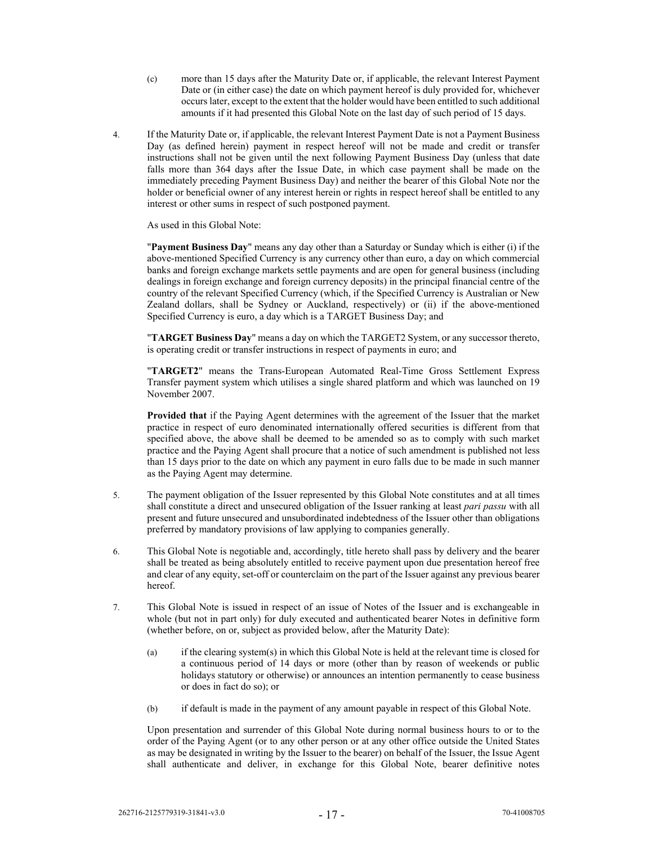- (c) more than 15 days after the Maturity Date or, if applicable, the relevant Interest Payment Date or (in either case) the date on which payment hereof is duly provided for, whichever occurs later, except to the extent that the holder would have been entitled to such additional amounts if it had presented this Global Note on the last day of such period of 15 days.
- 4. If the Maturity Date or, if applicable, the relevant Interest Payment Date is not a Payment Business Day (as defined herein) payment in respect hereof will not be made and credit or transfer instructions shall not be given until the next following Payment Business Day (unless that date falls more than 364 days after the Issue Date, in which case payment shall be made on the immediately preceding Payment Business Day) and neither the bearer of this Global Note nor the holder or beneficial owner of any interest herein or rights in respect hereof shall be entitled to any interest or other sums in respect of such postponed payment.

As used in this Global Note:

"**Payment Business Day**" means any day other than a Saturday or Sunday which is either (i) if the above-mentioned Specified Currency is any currency other than euro, a day on which commercial banks and foreign exchange markets settle payments and are open for general business (including dealings in foreign exchange and foreign currency deposits) in the principal financial centre of the country of the relevant Specified Currency (which, if the Specified Currency is Australian or New Zealand dollars, shall be Sydney or Auckland, respectively) or (ii) if the above-mentioned Specified Currency is euro, a day which is a TARGET Business Day; and

"**TARGET Business Day**" means a day on which the TARGET2 System, or any successor thereto, is operating credit or transfer instructions in respect of payments in euro; and

"**TARGET2**" means the Trans-European Automated Real-Time Gross Settlement Express Transfer payment system which utilises a single shared platform and which was launched on 19 November 2007.

**Provided that** if the Paying Agent determines with the agreement of the Issuer that the market practice in respect of euro denominated internationally offered securities is different from that specified above, the above shall be deemed to be amended so as to comply with such market practice and the Paying Agent shall procure that a notice of such amendment is published not less than 15 days prior to the date on which any payment in euro falls due to be made in such manner as the Paying Agent may determine.

- 5. The payment obligation of the Issuer represented by this Global Note constitutes and at all times shall constitute a direct and unsecured obligation of the Issuer ranking at least *pari passu* with all present and future unsecured and unsubordinated indebtedness of the Issuer other than obligations preferred by mandatory provisions of law applying to companies generally.
- 6. This Global Note is negotiable and, accordingly, title hereto shall pass by delivery and the bearer shall be treated as being absolutely entitled to receive payment upon due presentation hereof free and clear of any equity, set-off or counterclaim on the part of the Issuer against any previous bearer hereof.
- 7. This Global Note is issued in respect of an issue of Notes of the Issuer and is exchangeable in whole (but not in part only) for duly executed and authenticated bearer Notes in definitive form (whether before, on or, subject as provided below, after the Maturity Date):
	- (a) if the clearing system(s) in which this Global Note is held at the relevant time is closed for a continuous period of 14 days or more (other than by reason of weekends or public holidays statutory or otherwise) or announces an intention permanently to cease business or does in fact do so); or
	- (b) if default is made in the payment of any amount payable in respect of this Global Note.

Upon presentation and surrender of this Global Note during normal business hours to or to the order of the Paying Agent (or to any other person or at any other office outside the United States as may be designated in writing by the Issuer to the bearer) on behalf of the Issuer, the Issue Agent shall authenticate and deliver, in exchange for this Global Note, bearer definitive notes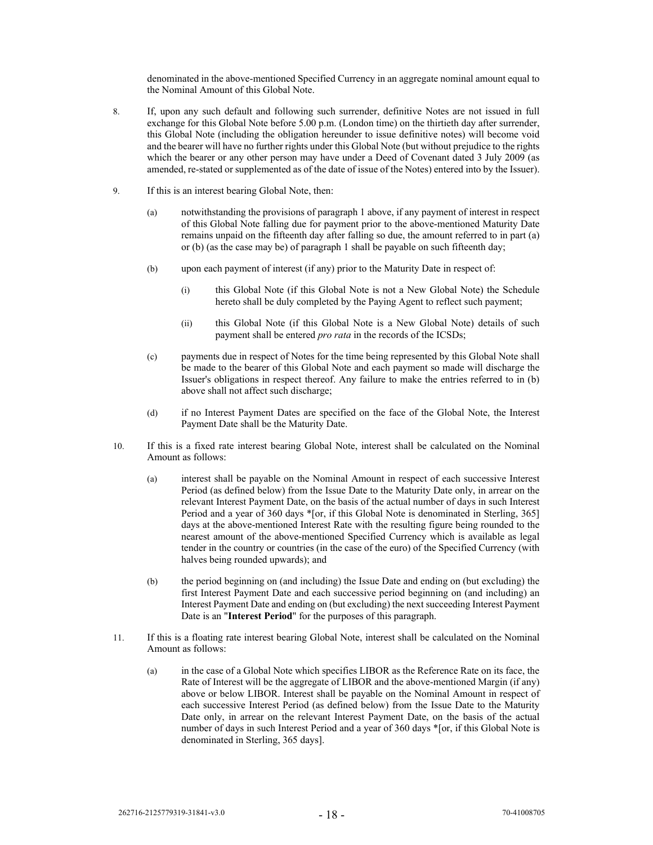denominated in the above-mentioned Specified Currency in an aggregate nominal amount equal to the Nominal Amount of this Global Note.

- 8. If, upon any such default and following such surrender, definitive Notes are not issued in full exchange for this Global Note before 5.00 p.m. (London time) on the thirtieth day after surrender, this Global Note (including the obligation hereunder to issue definitive notes) will become void and the bearer will have no further rights under this Global Note (but without prejudice to the rights which the bearer or any other person may have under a Deed of Covenant dated 3 July 2009 (as amended, re-stated or supplemented as of the date of issue of the Notes) entered into by the Issuer).
- 9. If this is an interest bearing Global Note, then:
	- (a) notwithstanding the provisions of paragraph 1 above, if any payment of interest in respect of this Global Note falling due for payment prior to the above-mentioned Maturity Date remains unpaid on the fifteenth day after falling so due, the amount referred to in part (a) or (b) (as the case may be) of paragraph 1 shall be payable on such fifteenth day;
	- (b) upon each payment of interest (if any) prior to the Maturity Date in respect of:
		- (i) this Global Note (if this Global Note is not a New Global Note) the Schedule hereto shall be duly completed by the Paying Agent to reflect such payment;
		- (ii) this Global Note (if this Global Note is a New Global Note) details of such payment shall be entered *pro rata* in the records of the ICSDs;
	- (c) payments due in respect of Notes for the time being represented by this Global Note shall be made to the bearer of this Global Note and each payment so made will discharge the Issuer's obligations in respect thereof. Any failure to make the entries referred to in (b) above shall not affect such discharge;
	- (d) if no Interest Payment Dates are specified on the face of the Global Note, the Interest Payment Date shall be the Maturity Date.
- 10. If this is a fixed rate interest bearing Global Note, interest shall be calculated on the Nominal Amount as follows:
	- (a) interest shall be payable on the Nominal Amount in respect of each successive Interest Period (as defined below) from the Issue Date to the Maturity Date only, in arrear on the relevant Interest Payment Date, on the basis of the actual number of days in such Interest Period and a year of 360 days \*[or, if this Global Note is denominated in Sterling, 365] days at the above-mentioned Interest Rate with the resulting figure being rounded to the nearest amount of the above-mentioned Specified Currency which is available as legal tender in the country or countries (in the case of the euro) of the Specified Currency (with halves being rounded upwards); and
	- (b) the period beginning on (and including) the Issue Date and ending on (but excluding) the first Interest Payment Date and each successive period beginning on (and including) an Interest Payment Date and ending on (but excluding) the next succeeding Interest Payment Date is an "**Interest Period**" for the purposes of this paragraph.
- 11. If this is a floating rate interest bearing Global Note, interest shall be calculated on the Nominal Amount as follows:
	- (a) in the case of a Global Note which specifies LIBOR as the Reference Rate on its face, the Rate of Interest will be the aggregate of LIBOR and the above-mentioned Margin (if any) above or below LIBOR. Interest shall be payable on the Nominal Amount in respect of each successive Interest Period (as defined below) from the Issue Date to the Maturity Date only, in arrear on the relevant Interest Payment Date, on the basis of the actual number of days in such Interest Period and a year of 360 days \*[or, if this Global Note is denominated in Sterling, 365 days].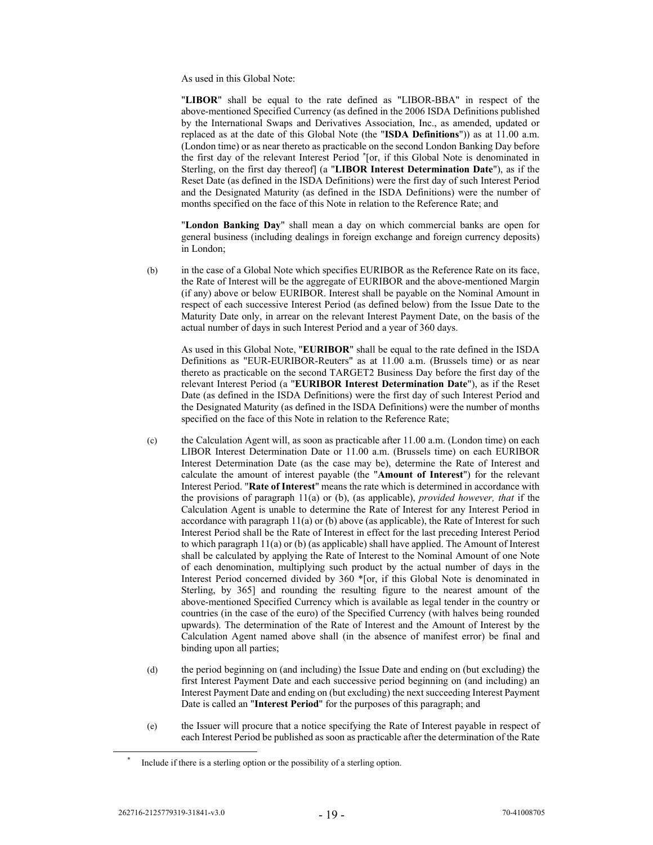As used in this Global Note:

"**LIBOR**" shall be equal to the rate defined as "LIBOR-BBA" in respect of the above-mentioned Specified Currency (as defined in the 2006 ISDA Definitions published by the International Swaps and Derivatives Association, Inc., as amended, updated or replaced as at the date of this Global Note (the "**ISDA Definitions**")) as at 11.00 a.m. (London time) or as near thereto as practicable on the second London Banking Day before the first day of the relevant Interest Period \* [or, if this Global Note is denominated in Sterling, on the first day thereof] (a "**LIBOR Interest Determination Date**"), as if the Reset Date (as defined in the ISDA Definitions) were the first day of such Interest Period and the Designated Maturity (as defined in the ISDA Definitions) were the number of months specified on the face of this Note in relation to the Reference Rate; and

"**London Banking Day**" shall mean a day on which commercial banks are open for general business (including dealings in foreign exchange and foreign currency deposits) in London;

(b) in the case of a Global Note which specifies EURIBOR as the Reference Rate on its face, the Rate of Interest will be the aggregate of EURIBOR and the above-mentioned Margin (if any) above or below EURIBOR. Interest shall be payable on the Nominal Amount in respect of each successive Interest Period (as defined below) from the Issue Date to the Maturity Date only, in arrear on the relevant Interest Payment Date, on the basis of the actual number of days in such Interest Period and a year of 360 days.

As used in this Global Note, "**EURIBOR**" shall be equal to the rate defined in the ISDA Definitions as "EUR-EURIBOR-Reuters" as at 11.00 a.m. (Brussels time) or as near thereto as practicable on the second TARGET2 Business Day before the first day of the relevant Interest Period (a "**EURIBOR Interest Determination Date**"), as if the Reset Date (as defined in the ISDA Definitions) were the first day of such Interest Period and the Designated Maturity (as defined in the ISDA Definitions) were the number of months specified on the face of this Note in relation to the Reference Rate;

- (c) the Calculation Agent will, as soon as practicable after 11.00 a.m. (London time) on each LIBOR Interest Determination Date or 11.00 a.m. (Brussels time) on each EURIBOR Interest Determination Date (as the case may be), determine the Rate of Interest and calculate the amount of interest payable (the "**Amount of Interest**") for the relevant Interest Period. "**Rate of Interest**" means the rate which is determined in accordance with the provisions of paragraph 11(a) or (b), (as applicable), *provided however, that* if the Calculation Agent is unable to determine the Rate of Interest for any Interest Period in accordance with paragraph 11(a) or (b) above (as applicable), the Rate of Interest for such Interest Period shall be the Rate of Interest in effect for the last preceding Interest Period to which paragraph  $11(a)$  or (b) (as applicable) shall have applied. The Amount of Interest shall be calculated by applying the Rate of Interest to the Nominal Amount of one Note of each denomination, multiplying such product by the actual number of days in the Interest Period concerned divided by 360 \*[or, if this Global Note is denominated in Sterling, by 365] and rounding the resulting figure to the nearest amount of the above-mentioned Specified Currency which is available as legal tender in the country or countries (in the case of the euro) of the Specified Currency (with halves being rounded upwards). The determination of the Rate of Interest and the Amount of Interest by the Calculation Agent named above shall (in the absence of manifest error) be final and binding upon all parties;
- (d) the period beginning on (and including) the Issue Date and ending on (but excluding) the first Interest Payment Date and each successive period beginning on (and including) an Interest Payment Date and ending on (but excluding) the next succeeding Interest Payment Date is called an "**Interest Period**" for the purposes of this paragraph; and
- (e) the Issuer will procure that a notice specifying the Rate of Interest payable in respect of each Interest Period be published as soon as practicable after the determination of the Rate

Include if there is a sterling option or the possibility of a sterling option.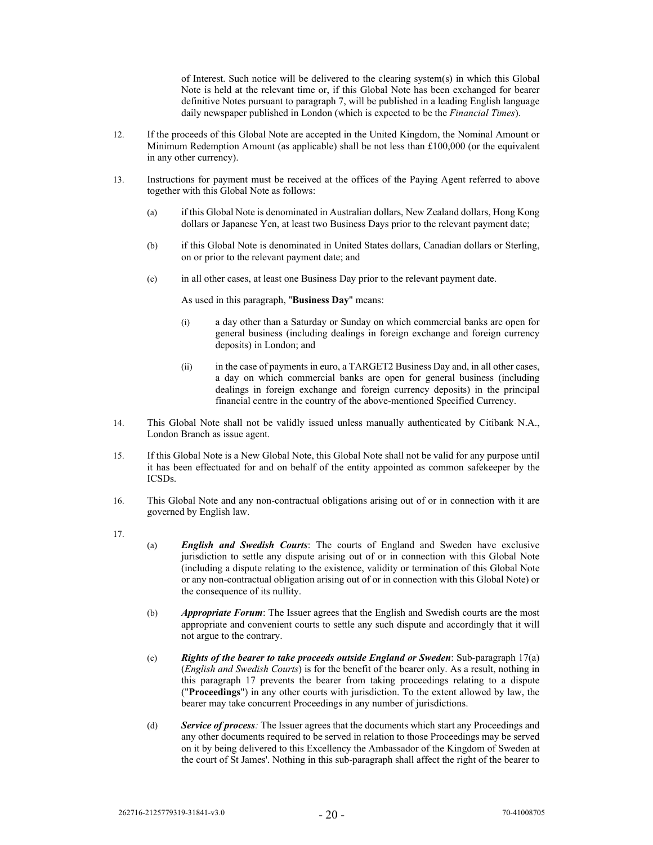of Interest. Such notice will be delivered to the clearing system(s) in which this Global Note is held at the relevant time or, if this Global Note has been exchanged for bearer definitive Notes pursuant to paragraph 7, will be published in a leading English language daily newspaper published in London (which is expected to be the *Financial Times*).

- 12. If the proceeds of this Global Note are accepted in the United Kingdom, the Nominal Amount or Minimum Redemption Amount (as applicable) shall be not less than £100,000 (or the equivalent in any other currency).
- 13. Instructions for payment must be received at the offices of the Paying Agent referred to above together with this Global Note as follows:
	- (a) if this Global Note is denominated in Australian dollars, New Zealand dollars, Hong Kong dollars or Japanese Yen, at least two Business Days prior to the relevant payment date;
	- (b) if this Global Note is denominated in United States dollars, Canadian dollars or Sterling, on or prior to the relevant payment date; and
	- (c) in all other cases, at least one Business Day prior to the relevant payment date.

As used in this paragraph, "**Business Day**" means:

- (i) a day other than a Saturday or Sunday on which commercial banks are open for general business (including dealings in foreign exchange and foreign currency deposits) in London; and
- (ii) in the case of payments in euro, a TARGET2 Business Day and, in all other cases, a day on which commercial banks are open for general business (including dealings in foreign exchange and foreign currency deposits) in the principal financial centre in the country of the above-mentioned Specified Currency.
- 14. This Global Note shall not be validly issued unless manually authenticated by Citibank N.A., London Branch as issue agent.
- 15. If this Global Note is a New Global Note, this Global Note shall not be valid for any purpose until it has been effectuated for and on behalf of the entity appointed as common safekeeper by the ICSDs.
- 16. This Global Note and any non-contractual obligations arising out of or in connection with it are governed by English law.
- 17.
- (a) *English and Swedish Courts*: The courts of England and Sweden have exclusive jurisdiction to settle any dispute arising out of or in connection with this Global Note (including a dispute relating to the existence, validity or termination of this Global Note or any non-contractual obligation arising out of or in connection with this Global Note) or the consequence of its nullity.
- (b) *Appropriate Forum*: The Issuer agrees that the English and Swedish courts are the most appropriate and convenient courts to settle any such dispute and accordingly that it will not argue to the contrary.
- (c) *Rights of the bearer to take proceeds outside England or Sweden*: Sub-paragraph 17(a) (*English and Swedish Courts*) is for the benefit of the bearer only. As a result, nothing in this paragraph 17 prevents the bearer from taking proceedings relating to a dispute ("**Proceedings**") in any other courts with jurisdiction. To the extent allowed by law, the bearer may take concurrent Proceedings in any number of jurisdictions.
- (d) *Service of process:* The Issuer agrees that the documents which start any Proceedings and any other documents required to be served in relation to those Proceedings may be served on it by being delivered to this Excellency the Ambassador of the Kingdom of Sweden at the court of St James'. Nothing in this sub-paragraph shall affect the right of the bearer to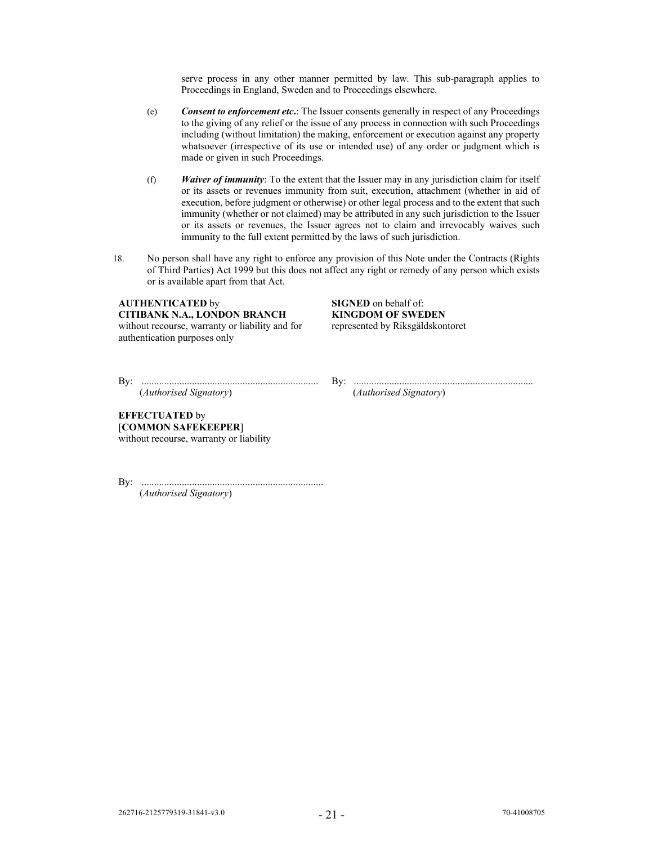serve process in any other manner permitted by law. This sub-paragraph applies to Proceedings in England, Sweden and to Proceedings elsewhere.

- (e) *Consent to enforcement etc***.**: The Issuer consents generally in respect of any Proceedings to the giving of any relief or the issue of any process in connection with such Proceedings including (without limitation) the making, enforcement or execution against any property whatsoever (irrespective of its use or intended use) of any order or judgment which is made or given in such Proceedings.
- (f) *Waiver of immunity*: To the extent that the Issuer may in any jurisdiction claim for itself or its assets or revenues immunity from suit, execution, attachment (whether in aid of execution, before judgment or otherwise) or other legal process and to the extent that such immunity (whether or not claimed) may be attributed in any such jurisdiction to the Issuer or its assets or revenues, the Issuer agrees not to claim and irrevocably waives such immunity to the full extent permitted by the laws of such jurisdiction.
- 18. No person shall have any right to enforce any provision of this Note under the Contracts (Rights of Third Parties) Act 1999 but this does not affect any right or remedy of any person which exists or is available apart from that Act.

# **AUTHENTICATED** by **SIGNED** on behalf of:<br> **CITIBANK N.A., LONDON BRANCH KINGDOM OF SWEDEN CITIBANK N.A., LONDON BRANCH**

without recourse, warranty or liability and for authentication purposes only

represented by Riksgäldskontoret

By: ...................................................................... By: .......................................................................

(*Authorised Signatory*) (*Authorised Signatory*)

**EFFECTUATED** by [**COMMON SAFEKEEPER**] without recourse, warranty or liability

By: ........................................................................ (*Authorised Signatory*)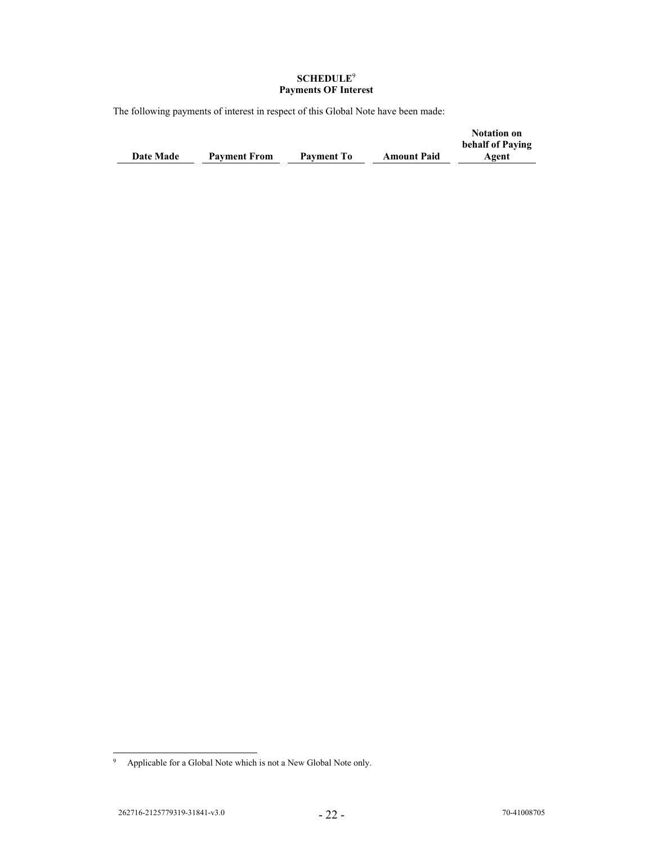### **SCHEDULE**<sup>9</sup> **Payments OF Interest**

The following payments of interest in respect of this Global Note have been made:

|                  |                     |                   |                    | <b>Notation on</b><br>behalf of Paying |
|------------------|---------------------|-------------------|--------------------|----------------------------------------|
| <b>Date Made</b> | <b>Payment From</b> | <b>Payment To</b> | <b>Amount Paid</b> | Agent                                  |

<sup>9</sup> Applicable for a Global Note which is not a New Global Note only.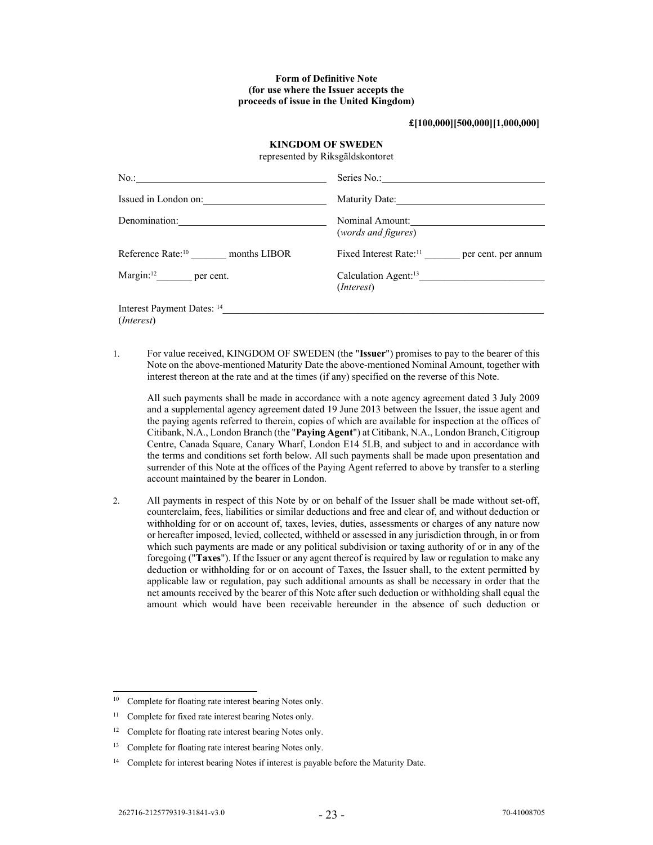### **Form of Definitive Note (for use where the Issuer accepts the proceeds of issue in the United Kingdom)**

**£[100,000][500,000][1,000,000]** 

### **KINGDOM OF SWEDEN**

represented by Riksgäldskontoret

| $No.$ :                                           | Series No.:                                               |
|---------------------------------------------------|-----------------------------------------------------------|
| Issued in London on:                              | Maturity Date:                                            |
| Denomination:                                     | Nominal Amount:<br>(words and figures)                    |
| months LIBOR<br>Reference Rate: <sup>10</sup>     | Fixed Interest Rate: <sup>11</sup><br>per cent. per annum |
| $\text{Margin:}^{12}$ per cent.                   | Calculation Agent: <sup>13</sup><br>( <i>Interest</i> )   |
| Interest Payment Dates: 14<br>( <i>Interest</i> ) |                                                           |

1. For value received, KINGDOM OF SWEDEN (the "**Issuer**") promises to pay to the bearer of this Note on the above-mentioned Maturity Date the above-mentioned Nominal Amount, together with interest thereon at the rate and at the times (if any) specified on the reverse of this Note.

All such payments shall be made in accordance with a note agency agreement dated 3 July 2009 and a supplemental agency agreement dated 19 June 2013 between the Issuer, the issue agent and the paying agents referred to therein, copies of which are available for inspection at the offices of Citibank, N.A., London Branch (the "**Paying Agent**") at Citibank, N.A., London Branch, Citigroup Centre, Canada Square, Canary Wharf, London E14 5LB, and subject to and in accordance with the terms and conditions set forth below. All such payments shall be made upon presentation and surrender of this Note at the offices of the Paying Agent referred to above by transfer to a sterling account maintained by the bearer in London.

2. All payments in respect of this Note by or on behalf of the Issuer shall be made without set-off, counterclaim, fees, liabilities or similar deductions and free and clear of, and without deduction or withholding for or on account of, taxes, levies, duties, assessments or charges of any nature now or hereafter imposed, levied, collected, withheld or assessed in any jurisdiction through, in or from which such payments are made or any political subdivision or taxing authority of or in any of the foregoing ("**Taxes**"). If the Issuer or any agent thereof is required by law or regulation to make any deduction or withholding for or on account of Taxes, the Issuer shall, to the extent permitted by applicable law or regulation, pay such additional amounts as shall be necessary in order that the net amounts received by the bearer of this Note after such deduction or withholding shall equal the amount which would have been receivable hereunder in the absence of such deduction or

<sup>&</sup>lt;sup>10</sup> Complete for floating rate interest bearing Notes only.

<sup>&</sup>lt;sup>11</sup> Complete for fixed rate interest bearing Notes only.

<sup>&</sup>lt;sup>12</sup> Complete for floating rate interest bearing Notes only.

<sup>&</sup>lt;sup>13</sup> Complete for floating rate interest bearing Notes only.

<sup>&</sup>lt;sup>14</sup> Complete for interest bearing Notes if interest is payable before the Maturity Date.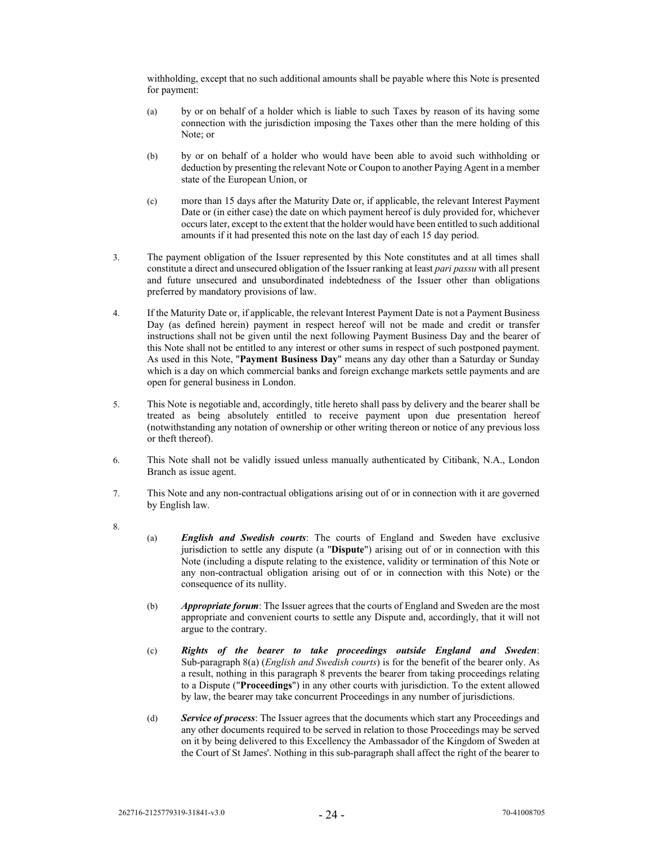withholding, except that no such additional amounts shall be payable where this Note is presented for payment:

- (a) by or on behalf of a holder which is liable to such Taxes by reason of its having some connection with the jurisdiction imposing the Taxes other than the mere holding of this Note; or
- (b) by or on behalf of a holder who would have been able to avoid such withholding or deduction by presenting the relevant Note or Coupon to another Paying Agent in a member state of the European Union, or
- (c) more than 15 days after the Maturity Date or, if applicable, the relevant Interest Payment Date or (in either case) the date on which payment hereof is duly provided for, whichever occurs later, except to the extent that the holder would have been entitled to such additional amounts if it had presented this note on the last day of each 15 day period.
- 3. The payment obligation of the Issuer represented by this Note constitutes and at all times shall constitute a direct and unsecured obligation of the Issuer ranking at least *pari passu* with all present and future unsecured and unsubordinated indebtedness of the Issuer other than obligations preferred by mandatory provisions of law.
- 4. If the Maturity Date or, if applicable, the relevant Interest Payment Date is not a Payment Business Day (as defined herein) payment in respect hereof will not be made and credit or transfer instructions shall not be given until the next following Payment Business Day and the bearer of this Note shall not be entitled to any interest or other sums in respect of such postponed payment. As used in this Note, "**Payment Business Day**" means any day other than a Saturday or Sunday which is a day on which commercial banks and foreign exchange markets settle payments and are open for general business in London.
- 5. This Note is negotiable and, accordingly, title hereto shall pass by delivery and the bearer shall be treated as being absolutely entitled to receive payment upon due presentation hereof (notwithstanding any notation of ownership or other writing thereon or notice of any previous loss or theft thereof).
- 6. This Note shall not be validly issued unless manually authenticated by Citibank, N.A., London Branch as issue agent.
- 7. This Note and any non-contractual obligations arising out of or in connection with it are governed by English law.
- 8.
- (a) *English and Swedish courts*: The courts of England and Sweden have exclusive jurisdiction to settle any dispute (a "**Dispute**") arising out of or in connection with this Note (including a dispute relating to the existence, validity or termination of this Note or any non-contractual obligation arising out of or in connection with this Note) or the consequence of its nullity.
- (b) *Appropriate forum*: The Issuer agrees that the courts of England and Sweden are the most appropriate and convenient courts to settle any Dispute and, accordingly, that it will not argue to the contrary.
- (c) *Rights of the bearer to take proceedings outside England and Sweden*: Sub-paragraph 8(a) (*English and Swedish courts*) is for the benefit of the bearer only. As a result, nothing in this paragraph 8 prevents the bearer from taking proceedings relating to a Dispute ("**Proceedings**") in any other courts with jurisdiction. To the extent allowed by law, the bearer may take concurrent Proceedings in any number of jurisdictions.
- (d) *Service of process*: The Issuer agrees that the documents which start any Proceedings and any other documents required to be served in relation to those Proceedings may be served on it by being delivered to this Excellency the Ambassador of the Kingdom of Sweden at the Court of St James'. Nothing in this sub-paragraph shall affect the right of the bearer to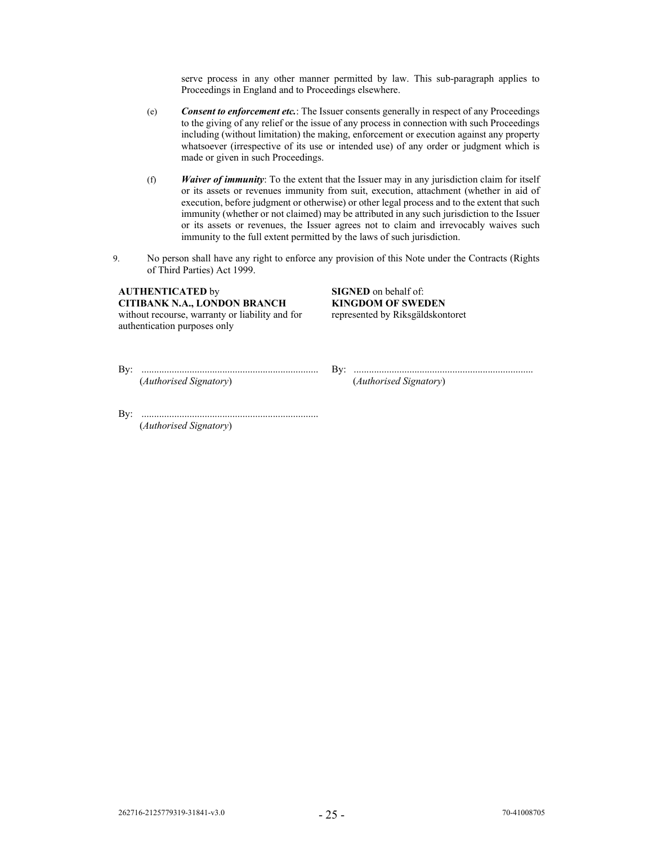serve process in any other manner permitted by law. This sub-paragraph applies to Proceedings in England and to Proceedings elsewhere.

- (e) *Consent to enforcement etc.*: The Issuer consents generally in respect of any Proceedings to the giving of any relief or the issue of any process in connection with such Proceedings including (without limitation) the making, enforcement or execution against any property whatsoever (irrespective of its use or intended use) of any order or judgment which is made or given in such Proceedings.
- (f) *Waiver of immunity*: To the extent that the Issuer may in any jurisdiction claim for itself or its assets or revenues immunity from suit, execution, attachment (whether in aid of execution, before judgment or otherwise) or other legal process and to the extent that such immunity (whether or not claimed) may be attributed in any such jurisdiction to the Issuer or its assets or revenues, the Issuer agrees not to claim and irrevocably waives such immunity to the full extent permitted by the laws of such jurisdiction.
- 9. No person shall have any right to enforce any provision of this Note under the Contracts (Rights of Third Parties) Act 1999.

**AUTHENTICATED** by **SIGNED** on behalf of:<br> **CITIBANK N.A., LONDON BRANCH KINGDOM OF SWEDEN CITIBANK N.A., LONDON BRANCH** without recourse, warranty or liability and for authentication purposes only

represented by Riksgäldskontoret

(*Authorised Signatory*) (*Authorised Signatory*)

By: ...................................................................... By: .......................................................................

By: ...................................................................... (*Authorised Signatory*)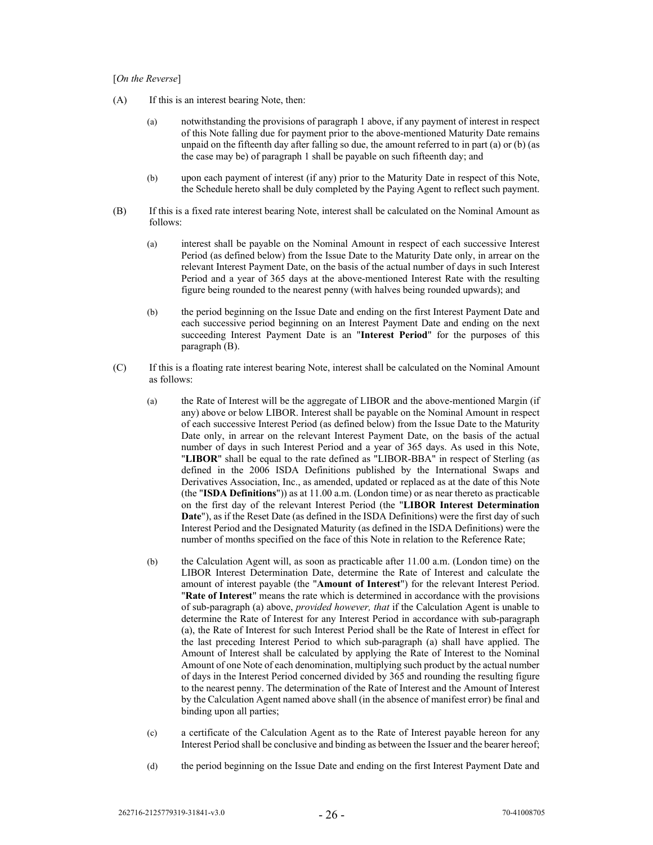#### [*On the Reverse*]

- (A) If this is an interest bearing Note, then:
	- (a) notwithstanding the provisions of paragraph 1 above, if any payment of interest in respect of this Note falling due for payment prior to the above-mentioned Maturity Date remains unpaid on the fifteenth day after falling so due, the amount referred to in part (a) or (b) (as the case may be) of paragraph 1 shall be payable on such fifteenth day; and
	- (b) upon each payment of interest (if any) prior to the Maturity Date in respect of this Note, the Schedule hereto shall be duly completed by the Paying Agent to reflect such payment.
- (B) If this is a fixed rate interest bearing Note, interest shall be calculated on the Nominal Amount as follows:
	- (a) interest shall be payable on the Nominal Amount in respect of each successive Interest Period (as defined below) from the Issue Date to the Maturity Date only, in arrear on the relevant Interest Payment Date, on the basis of the actual number of days in such Interest Period and a year of 365 days at the above-mentioned Interest Rate with the resulting figure being rounded to the nearest penny (with halves being rounded upwards); and
	- (b) the period beginning on the Issue Date and ending on the first Interest Payment Date and each successive period beginning on an Interest Payment Date and ending on the next succeeding Interest Payment Date is an "**Interest Period**" for the purposes of this paragraph (B).
- (C) If this is a floating rate interest bearing Note, interest shall be calculated on the Nominal Amount as follows:
	- (a) the Rate of Interest will be the aggregate of LIBOR and the above-mentioned Margin (if any) above or below LIBOR. Interest shall be payable on the Nominal Amount in respect of each successive Interest Period (as defined below) from the Issue Date to the Maturity Date only, in arrear on the relevant Interest Payment Date, on the basis of the actual number of days in such Interest Period and a year of 365 days. As used in this Note, "**LIBOR**" shall be equal to the rate defined as "LIBOR-BBA" in respect of Sterling (as defined in the 2006 ISDA Definitions published by the International Swaps and Derivatives Association, Inc., as amended, updated or replaced as at the date of this Note (the "**ISDA Definitions**")) as at 11.00 a.m. (London time) or as near thereto as practicable on the first day of the relevant Interest Period (the "**LIBOR Interest Determination Date**"), as if the Reset Date (as defined in the ISDA Definitions) were the first day of such Interest Period and the Designated Maturity (as defined in the ISDA Definitions) were the number of months specified on the face of this Note in relation to the Reference Rate;
	- (b) the Calculation Agent will, as soon as practicable after 11.00 a.m. (London time) on the LIBOR Interest Determination Date, determine the Rate of Interest and calculate the amount of interest payable (the "**Amount of Interest**") for the relevant Interest Period. "**Rate of Interest**" means the rate which is determined in accordance with the provisions of sub-paragraph (a) above, *provided however, that* if the Calculation Agent is unable to determine the Rate of Interest for any Interest Period in accordance with sub-paragraph (a), the Rate of Interest for such Interest Period shall be the Rate of Interest in effect for the last preceding Interest Period to which sub-paragraph (a) shall have applied. The Amount of Interest shall be calculated by applying the Rate of Interest to the Nominal Amount of one Note of each denomination, multiplying such product by the actual number of days in the Interest Period concerned divided by 365 and rounding the resulting figure to the nearest penny. The determination of the Rate of Interest and the Amount of Interest by the Calculation Agent named above shall (in the absence of manifest error) be final and binding upon all parties;
	- (c) a certificate of the Calculation Agent as to the Rate of Interest payable hereon for any Interest Period shall be conclusive and binding as between the Issuer and the bearer hereof;
	- (d) the period beginning on the Issue Date and ending on the first Interest Payment Date and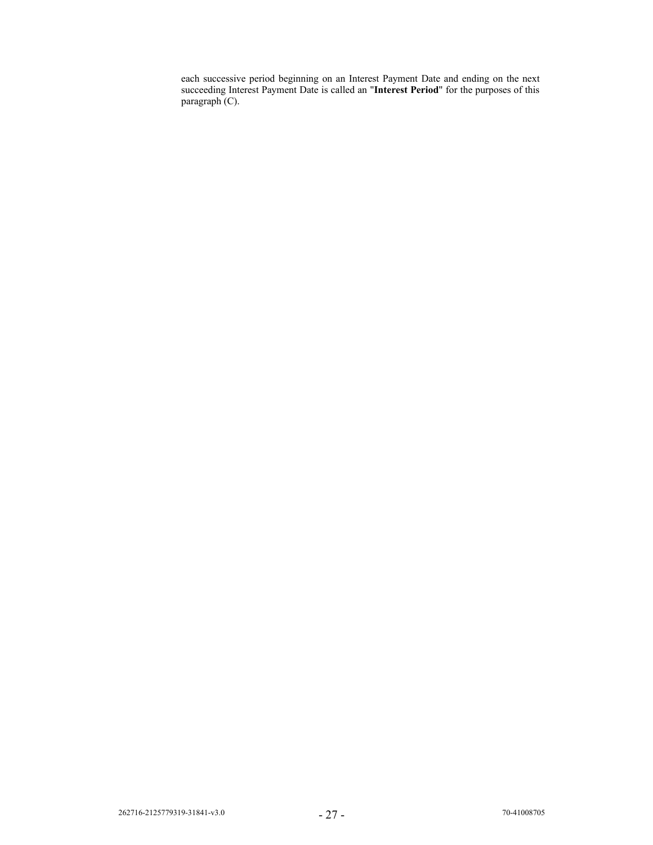each successive period beginning on an Interest Payment Date and ending on the next succeeding Interest Payment Date is called an "**Interest Period**" for the purposes of this paragraph (C).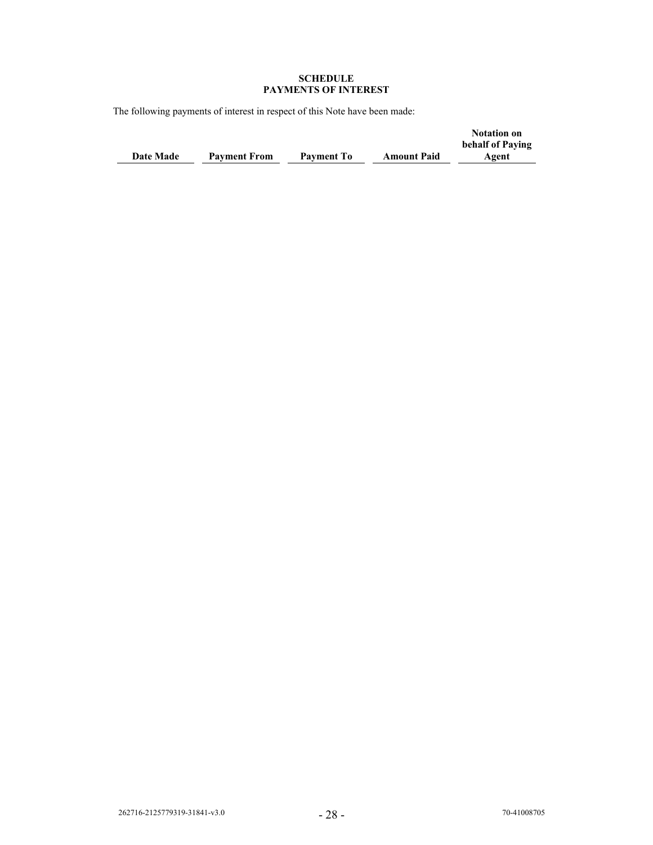#### **SCHEDULE PAYMENTS OF INTEREST**

The following payments of interest in respect of this Note have been made:

|                  |                     |                   |                    | <b>Notation on</b> |
|------------------|---------------------|-------------------|--------------------|--------------------|
|                  |                     |                   |                    | behalf of Paving   |
| <b>Date Made</b> | <b>Payment From</b> | <b>Payment To</b> | <b>Amount Paid</b> | Agent              |
|                  |                     |                   |                    |                    |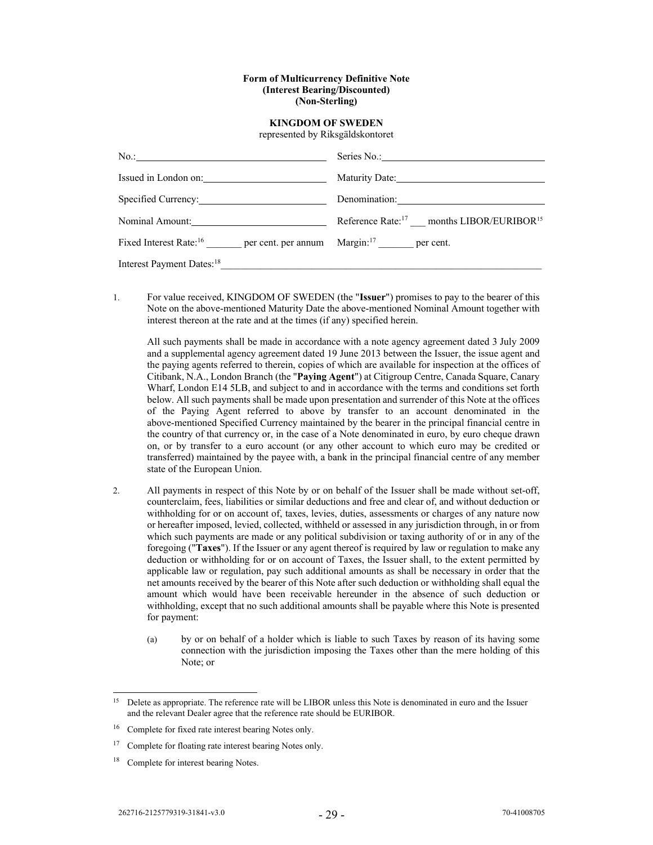#### **Form of Multicurrency Definitive Note (Interest Bearing/Discounted) (Non-Sterling)**

# **KINGDOM OF SWEDEN**

represented by Riksgäldskontoret

| Issued in London on:                                                                   |                                                                  |
|----------------------------------------------------------------------------------------|------------------------------------------------------------------|
| Specified Currency:                                                                    |                                                                  |
| Nominal Amount:                                                                        | Reference Rate: <sup>17</sup> months LIBOR/EURIBOR <sup>15</sup> |
| Fixed Interest Rate: <sup>16</sup> per cent. per annum Margin: <sup>17</sup> per cent. |                                                                  |
| Interest Payment Dates: <sup>18</sup>                                                  |                                                                  |

1. For value received, KINGDOM OF SWEDEN (the "**Issuer**") promises to pay to the bearer of this Note on the above-mentioned Maturity Date the above-mentioned Nominal Amount together with interest thereon at the rate and at the times (if any) specified herein.

All such payments shall be made in accordance with a note agency agreement dated 3 July 2009 and a supplemental agency agreement dated 19 June 2013 between the Issuer, the issue agent and the paying agents referred to therein, copies of which are available for inspection at the offices of Citibank, N.A., London Branch (the "**Paying Agent**") at Citigroup Centre, Canada Square, Canary Wharf, London E14 5LB, and subject to and in accordance with the terms and conditions set forth below. All such payments shall be made upon presentation and surrender of this Note at the offices of the Paying Agent referred to above by transfer to an account denominated in the above-mentioned Specified Currency maintained by the bearer in the principal financial centre in the country of that currency or, in the case of a Note denominated in euro, by euro cheque drawn on, or by transfer to a euro account (or any other account to which euro may be credited or transferred) maintained by the payee with, a bank in the principal financial centre of any member state of the European Union.

- 2. All payments in respect of this Note by or on behalf of the Issuer shall be made without set-off, counterclaim, fees, liabilities or similar deductions and free and clear of, and without deduction or withholding for or on account of, taxes, levies, duties, assessments or charges of any nature now or hereafter imposed, levied, collected, withheld or assessed in any jurisdiction through, in or from which such payments are made or any political subdivision or taxing authority of or in any of the foregoing ("**Taxes**"). If the Issuer or any agent thereof is required by law or regulation to make any deduction or withholding for or on account of Taxes, the Issuer shall, to the extent permitted by applicable law or regulation, pay such additional amounts as shall be necessary in order that the net amounts received by the bearer of this Note after such deduction or withholding shall equal the amount which would have been receivable hereunder in the absence of such deduction or withholding, except that no such additional amounts shall be payable where this Note is presented for payment:
	- (a) by or on behalf of a holder which is liable to such Taxes by reason of its having some connection with the jurisdiction imposing the Taxes other than the mere holding of this Note; or

<sup>&</sup>lt;sup>15</sup> Delete as appropriate. The reference rate will be LIBOR unless this Note is denominated in euro and the Issuer and the relevant Dealer agree that the reference rate should be EURIBOR.

<sup>&</sup>lt;sup>16</sup> Complete for fixed rate interest bearing Notes only.

<sup>&</sup>lt;sup>17</sup> Complete for floating rate interest bearing Notes only.

Complete for interest bearing Notes.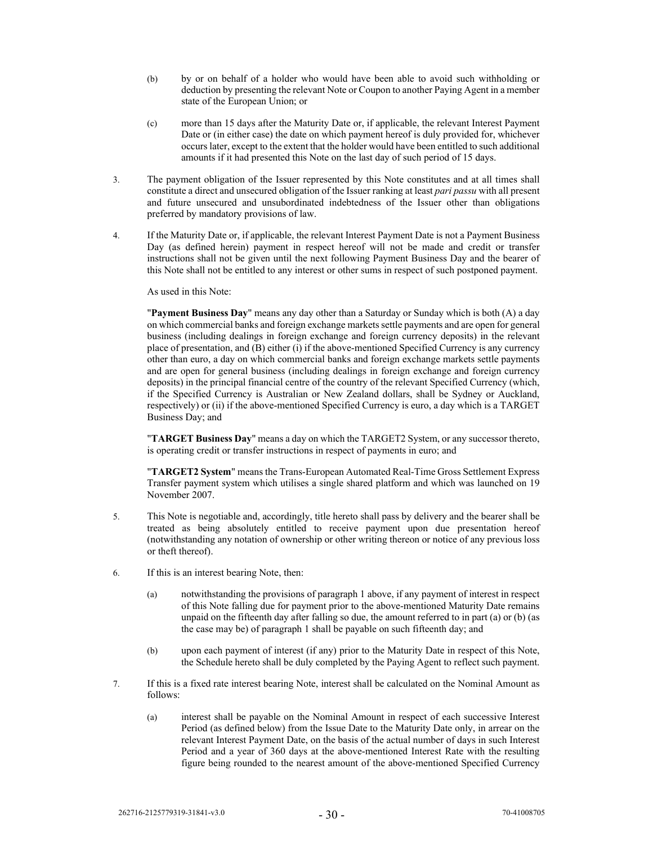- (b) by or on behalf of a holder who would have been able to avoid such withholding or deduction by presenting the relevant Note or Coupon to another Paying Agent in a member state of the European Union; or
- (c) more than 15 days after the Maturity Date or, if applicable, the relevant Interest Payment Date or (in either case) the date on which payment hereof is duly provided for, whichever occurs later, except to the extent that the holder would have been entitled to such additional amounts if it had presented this Note on the last day of such period of 15 days.
- 3. The payment obligation of the Issuer represented by this Note constitutes and at all times shall constitute a direct and unsecured obligation of the Issuer ranking at least *pari passu* with all present and future unsecured and unsubordinated indebtedness of the Issuer other than obligations preferred by mandatory provisions of law.
- 4. If the Maturity Date or, if applicable, the relevant Interest Payment Date is not a Payment Business Day (as defined herein) payment in respect hereof will not be made and credit or transfer instructions shall not be given until the next following Payment Business Day and the bearer of this Note shall not be entitled to any interest or other sums in respect of such postponed payment.

As used in this Note:

"**Payment Business Day**" means any day other than a Saturday or Sunday which is both (A) a day on which commercial banks and foreign exchange markets settle payments and are open for general business (including dealings in foreign exchange and foreign currency deposits) in the relevant place of presentation, and (B) either (i) if the above-mentioned Specified Currency is any currency other than euro, a day on which commercial banks and foreign exchange markets settle payments and are open for general business (including dealings in foreign exchange and foreign currency deposits) in the principal financial centre of the country of the relevant Specified Currency (which, if the Specified Currency is Australian or New Zealand dollars, shall be Sydney or Auckland, respectively) or (ii) if the above-mentioned Specified Currency is euro, a day which is a TARGET Business Day; and

"**TARGET Business Day**" means a day on which the TARGET2 System, or any successor thereto, is operating credit or transfer instructions in respect of payments in euro; and

"**TARGET2 System**" means the Trans-European Automated Real-Time Gross Settlement Express Transfer payment system which utilises a single shared platform and which was launched on 19 November 2007.

- 5. This Note is negotiable and, accordingly, title hereto shall pass by delivery and the bearer shall be treated as being absolutely entitled to receive payment upon due presentation hereof (notwithstanding any notation of ownership or other writing thereon or notice of any previous loss or theft thereof).
- 6. If this is an interest bearing Note, then:
	- (a) notwithstanding the provisions of paragraph 1 above, if any payment of interest in respect of this Note falling due for payment prior to the above-mentioned Maturity Date remains unpaid on the fifteenth day after falling so due, the amount referred to in part (a) or (b) (as the case may be) of paragraph 1 shall be payable on such fifteenth day; and
	- (b) upon each payment of interest (if any) prior to the Maturity Date in respect of this Note, the Schedule hereto shall be duly completed by the Paying Agent to reflect such payment.
- 7. If this is a fixed rate interest bearing Note, interest shall be calculated on the Nominal Amount as follows:
	- (a) interest shall be payable on the Nominal Amount in respect of each successive Interest Period (as defined below) from the Issue Date to the Maturity Date only, in arrear on the relevant Interest Payment Date, on the basis of the actual number of days in such Interest Period and a year of 360 days at the above-mentioned Interest Rate with the resulting figure being rounded to the nearest amount of the above-mentioned Specified Currency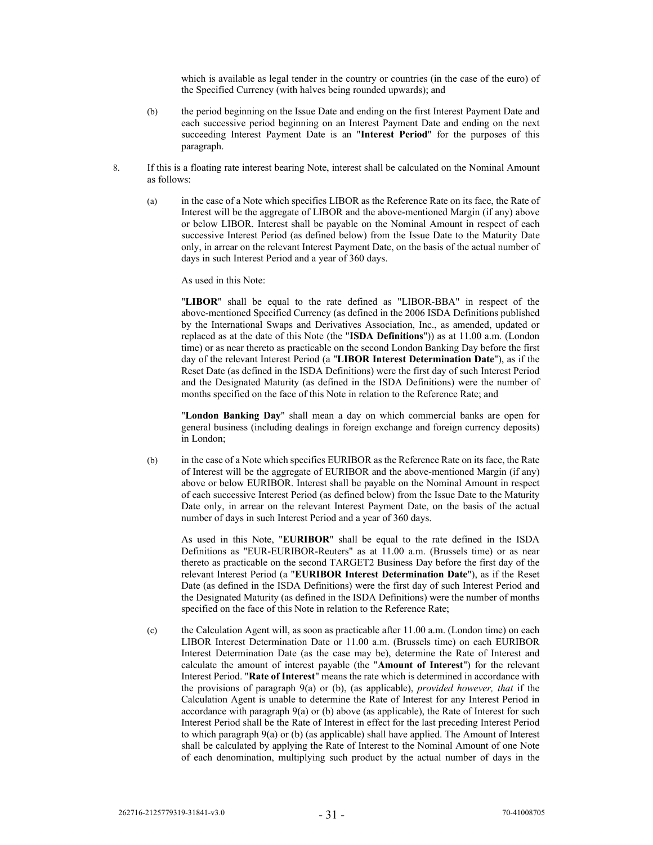which is available as legal tender in the country or countries (in the case of the euro) of the Specified Currency (with halves being rounded upwards); and

- (b) the period beginning on the Issue Date and ending on the first Interest Payment Date and each successive period beginning on an Interest Payment Date and ending on the next succeeding Interest Payment Date is an "**Interest Period**" for the purposes of this paragraph.
- 8. If this is a floating rate interest bearing Note, interest shall be calculated on the Nominal Amount as follows:
	- (a) in the case of a Note which specifies LIBOR as the Reference Rate on its face, the Rate of Interest will be the aggregate of LIBOR and the above-mentioned Margin (if any) above or below LIBOR. Interest shall be payable on the Nominal Amount in respect of each successive Interest Period (as defined below) from the Issue Date to the Maturity Date only, in arrear on the relevant Interest Payment Date, on the basis of the actual number of days in such Interest Period and a year of 360 days.

As used in this Note:

"**LIBOR**" shall be equal to the rate defined as "LIBOR-BBA" in respect of the above-mentioned Specified Currency (as defined in the 2006 ISDA Definitions published by the International Swaps and Derivatives Association, Inc., as amended, updated or replaced as at the date of this Note (the "**ISDA Definitions**")) as at 11.00 a.m. (London time) or as near thereto as practicable on the second London Banking Day before the first day of the relevant Interest Period (a "**LIBOR Interest Determination Date**"), as if the Reset Date (as defined in the ISDA Definitions) were the first day of such Interest Period and the Designated Maturity (as defined in the ISDA Definitions) were the number of months specified on the face of this Note in relation to the Reference Rate; and

"**London Banking Day**" shall mean a day on which commercial banks are open for general business (including dealings in foreign exchange and foreign currency deposits) in London;

(b) in the case of a Note which specifies EURIBOR as the Reference Rate on its face, the Rate of Interest will be the aggregate of EURIBOR and the above-mentioned Margin (if any) above or below EURIBOR. Interest shall be payable on the Nominal Amount in respect of each successive Interest Period (as defined below) from the Issue Date to the Maturity Date only, in arrear on the relevant Interest Payment Date, on the basis of the actual number of days in such Interest Period and a year of 360 days.

As used in this Note, "**EURIBOR**" shall be equal to the rate defined in the ISDA Definitions as "EUR-EURIBOR-Reuters" as at 11.00 a.m. (Brussels time) or as near thereto as practicable on the second TARGET2 Business Day before the first day of the relevant Interest Period (a "**EURIBOR Interest Determination Date**"), as if the Reset Date (as defined in the ISDA Definitions) were the first day of such Interest Period and the Designated Maturity (as defined in the ISDA Definitions) were the number of months specified on the face of this Note in relation to the Reference Rate;

(c) the Calculation Agent will, as soon as practicable after 11.00 a.m. (London time) on each LIBOR Interest Determination Date or 11.00 a.m. (Brussels time) on each EURIBOR Interest Determination Date (as the case may be), determine the Rate of Interest and calculate the amount of interest payable (the "**Amount of Interest**") for the relevant Interest Period. "**Rate of Interest**" means the rate which is determined in accordance with the provisions of paragraph 9(a) or (b), (as applicable), *provided however, that* if the Calculation Agent is unable to determine the Rate of Interest for any Interest Period in accordance with paragraph 9(a) or (b) above (as applicable), the Rate of Interest for such Interest Period shall be the Rate of Interest in effect for the last preceding Interest Period to which paragraph 9(a) or (b) (as applicable) shall have applied. The Amount of Interest shall be calculated by applying the Rate of Interest to the Nominal Amount of one Note of each denomination, multiplying such product by the actual number of days in the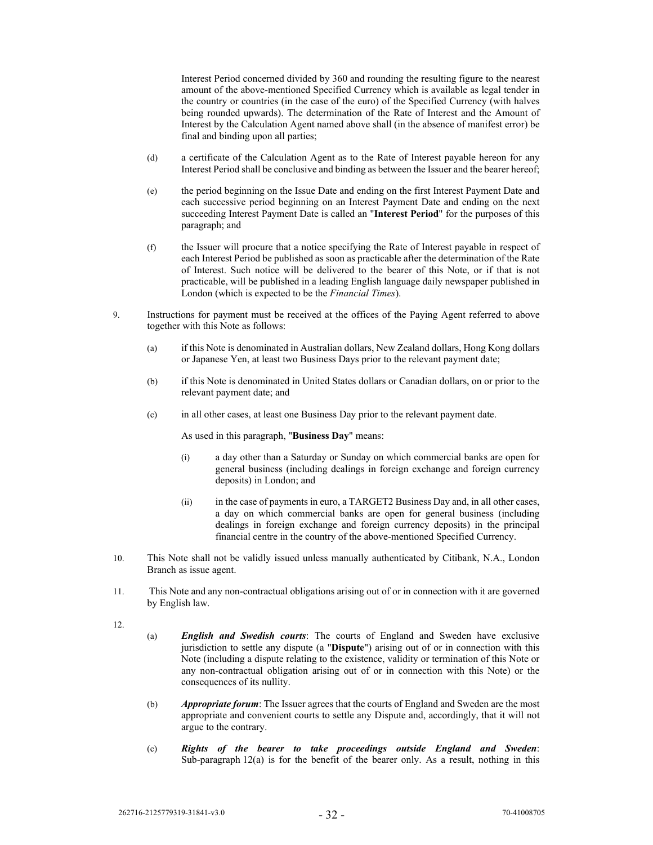Interest Period concerned divided by 360 and rounding the resulting figure to the nearest amount of the above-mentioned Specified Currency which is available as legal tender in the country or countries (in the case of the euro) of the Specified Currency (with halves being rounded upwards). The determination of the Rate of Interest and the Amount of Interest by the Calculation Agent named above shall (in the absence of manifest error) be final and binding upon all parties;

- (d) a certificate of the Calculation Agent as to the Rate of Interest payable hereon for any Interest Period shall be conclusive and binding as between the Issuer and the bearer hereof;
- (e) the period beginning on the Issue Date and ending on the first Interest Payment Date and each successive period beginning on an Interest Payment Date and ending on the next succeeding Interest Payment Date is called an "**Interest Period**" for the purposes of this paragraph; and
- (f) the Issuer will procure that a notice specifying the Rate of Interest payable in respect of each Interest Period be published as soon as practicable after the determination of the Rate of Interest. Such notice will be delivered to the bearer of this Note, or if that is not practicable, will be published in a leading English language daily newspaper published in London (which is expected to be the *Financial Times*).
- 9. Instructions for payment must be received at the offices of the Paying Agent referred to above together with this Note as follows:
	- (a) if this Note is denominated in Australian dollars, New Zealand dollars, Hong Kong dollars or Japanese Yen, at least two Business Days prior to the relevant payment date;
	- (b) if this Note is denominated in United States dollars or Canadian dollars, on or prior to the relevant payment date; and
	- (c) in all other cases, at least one Business Day prior to the relevant payment date.

As used in this paragraph, "**Business Day**" means:

- (i) a day other than a Saturday or Sunday on which commercial banks are open for general business (including dealings in foreign exchange and foreign currency deposits) in London; and
- (ii) in the case of payments in euro, a TARGET2 Business Day and, in all other cases, a day on which commercial banks are open for general business (including dealings in foreign exchange and foreign currency deposits) in the principal financial centre in the country of the above-mentioned Specified Currency.
- 10. This Note shall not be validly issued unless manually authenticated by Citibank, N.A., London Branch as issue agent.
- 11. This Note and any non-contractual obligations arising out of or in connection with it are governed by English law.
- 12.
- (a) *English and Swedish courts*: The courts of England and Sweden have exclusive jurisdiction to settle any dispute (a "**Dispute**") arising out of or in connection with this Note (including a dispute relating to the existence, validity or termination of this Note or any non-contractual obligation arising out of or in connection with this Note) or the consequences of its nullity.
- (b) *Appropriate forum*: The Issuer agrees that the courts of England and Sweden are the most appropriate and convenient courts to settle any Dispute and, accordingly, that it will not argue to the contrary.
- (c) *Rights of the bearer to take proceedings outside England and Sweden*: Sub-paragraph  $12(a)$  is for the benefit of the bearer only. As a result, nothing in this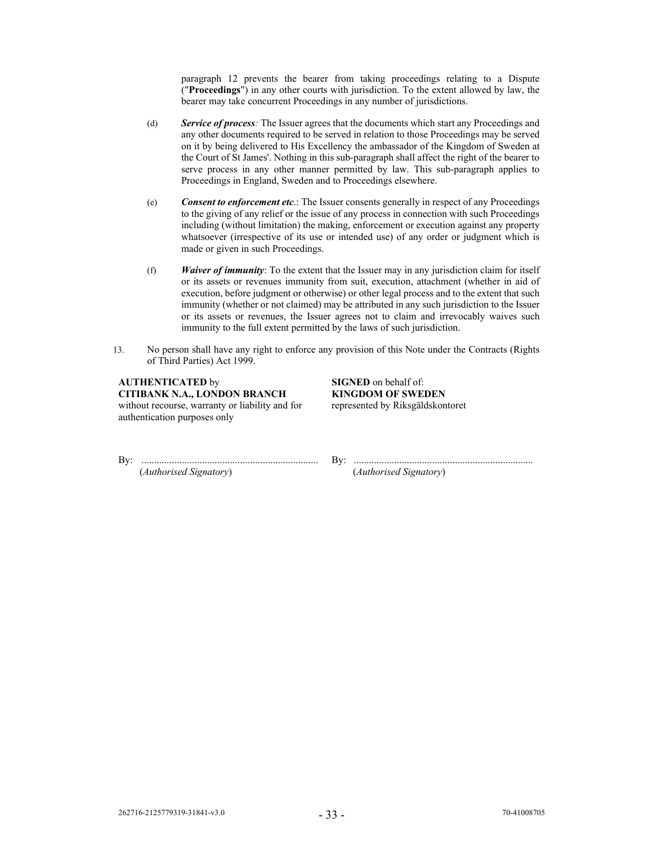paragraph 12 prevents the bearer from taking proceedings relating to a Dispute ("**Proceedings**") in any other courts with jurisdiction. To the extent allowed by law, the bearer may take concurrent Proceedings in any number of jurisdictions.

- (d) *Service of process:* The Issuer agrees that the documents which start any Proceedings and any other documents required to be served in relation to those Proceedings may be served on it by being delivered to His Excellency the ambassador of the Kingdom of Sweden at the Court of St James'. Nothing in this sub-paragraph shall affect the right of the bearer to serve process in any other manner permitted by law. This sub-paragraph applies to Proceedings in England, Sweden and to Proceedings elsewhere.
- (e) *Consent to enforcement etc*.: The Issuer consents generally in respect of any Proceedings to the giving of any relief or the issue of any process in connection with such Proceedings including (without limitation) the making, enforcement or execution against any property whatsoever (irrespective of its use or intended use) of any order or judgment which is made or given in such Proceedings.
- (f) *Waiver of immunity*: To the extent that the Issuer may in any jurisdiction claim for itself or its assets or revenues immunity from suit, execution, attachment (whether in aid of execution, before judgment or otherwise) or other legal process and to the extent that such immunity (whether or not claimed) may be attributed in any such jurisdiction to the Issuer or its assets or revenues, the Issuer agrees not to claim and irrevocably waives such immunity to the full extent permitted by the laws of such jurisdiction.
- 13. No person shall have any right to enforce any provision of this Note under the Contracts (Rights of Third Parties) Act 1999.

**AUTHENTICATED** by **SIGNED** on behalf of: **CITIBANK N.A., LONDON BRANCH KINGDOM OF SWEDEN**  without recourse, warranty or liability and for authentication purposes only

represented by Riksgäldskontoret

By: ...................................................................... By: .......................................................................

(*Authorised Signatory*) (*Authorised Signatory*)